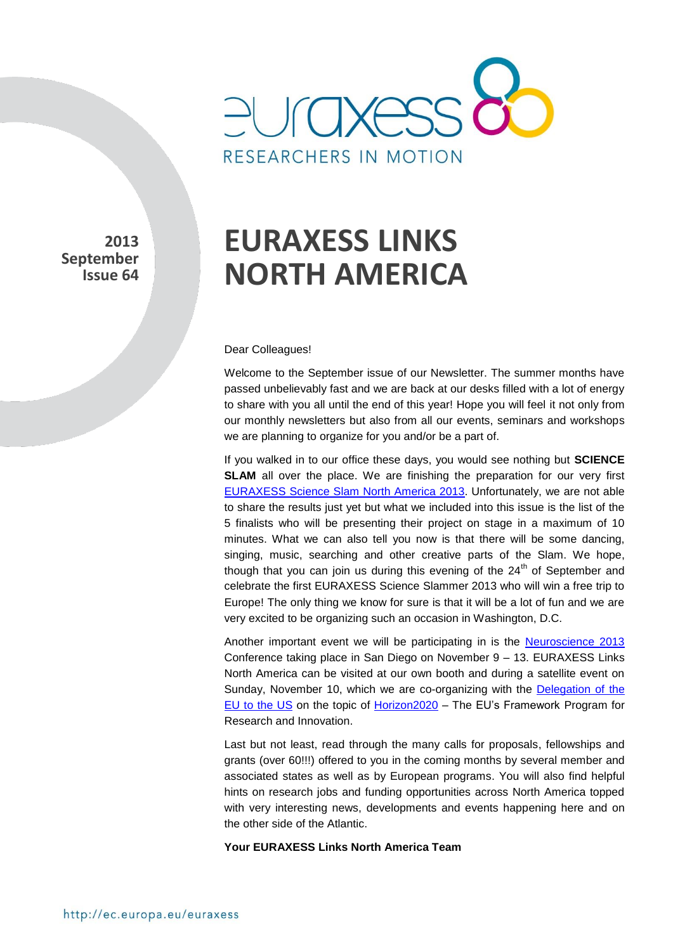

**2013 September Issue 64** 

# **EURAXESS LINKS NORTH AMERICA**

#### Dear Colleagues!

Welcome to the September issue of our Newsletter. The summer months have passed unbelievably fast and we are back at our desks filled with a lot of energy to share with you all until the end of this year! Hope you will feel it not only from our monthly newsletters but also from all our events, seminars and workshops we are planning to organize for you and/or be a part of.

If you walked in to our office these days, you would see nothing but **SCIENCE SLAM** all over the place. We are finishing the preparation for our very first [EURAXESS Science Slam North America 2013.](http://ec.europa.eu/euraxess/index.cfm/links/events/north_america/science_slam) Unfortunately, we are not able to share the results just yet but what we included into this issue is the list of the 5 finalists who will be presenting their project on stage in a maximum of 10 minutes. What we can also tell you now is that there will be some dancing, singing, music, searching and other creative parts of the Slam. We hope, though that you can join us during this evening of the  $24<sup>th</sup>$  of September and celebrate the first EURAXESS Science Slammer 2013 who will win a free trip to Europe! The only thing we know for sure is that it will be a lot of fun and we are very excited to be organizing such an occasion in Washington, D.C.

Another important event we will be participating in is the [Neuroscience 2013](http://www.sfn.org/annual-meeting/neuroscience-2013) Conference taking place in San Diego on November 9 – 13. EURAXESS Links North America can be visited at our own booth and during a satellite event on Sunday, November 10, which we are co-organizing with the [Delegation of the](http://www.euintheus.org/)  [EU to the US](http://www.euintheus.org/) on the topic of [Horizon2020](http://ec.europa.eu/research/horizon2020/index_en.cfm) – The EU's Framework Program for Research and Innovation.

Last but not least, read through the many calls for proposals, fellowships and grants (over 60!!!) offered to you in the coming months by several member and associated states as well as by European programs. You will also find helpful hints on research jobs and funding opportunities across North America topped with very interesting news, developments and events happening here and on the other side of the Atlantic.

#### **Your EURAXESS Links North America Team**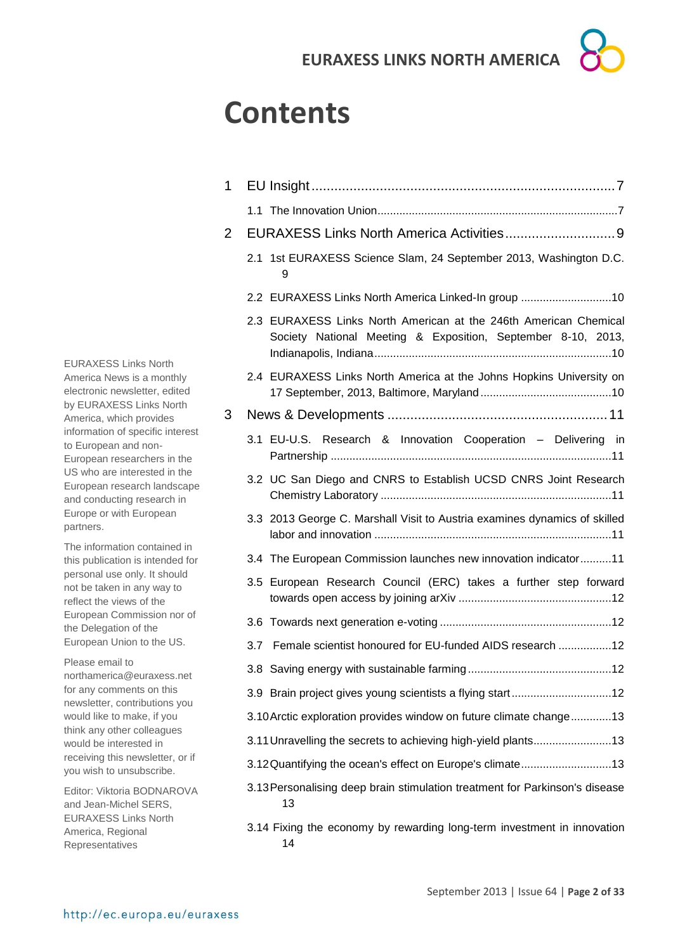## **Contents**

| 1 |                                                                                                                                  |
|---|----------------------------------------------------------------------------------------------------------------------------------|
|   |                                                                                                                                  |
| 2 |                                                                                                                                  |
|   | 2.1 1st EURAXESS Science Slam, 24 September 2013, Washington D.C.<br>9                                                           |
|   | 2.2 EURAXESS Links North America Linked-In group 10                                                                              |
|   | 2.3 EURAXESS Links North American at the 246th American Chemical<br>Society National Meeting & Exposition, September 8-10, 2013, |
|   | 2.4 EURAXESS Links North America at the Johns Hopkins University on                                                              |
| 3 |                                                                                                                                  |
|   | 3.1 EU-U.S. Research & Innovation Cooperation - Delivering in                                                                    |
|   | 3.2 UC San Diego and CNRS to Establish UCSD CNRS Joint Research                                                                  |
|   | 3.3 2013 George C. Marshall Visit to Austria examines dynamics of skilled                                                        |
|   | 3.4 The European Commission launches new innovation indicator 11                                                                 |
|   | 3.5 European Research Council (ERC) takes a further step forward                                                                 |
|   |                                                                                                                                  |
|   | 3.7 Female scientist honoured for EU-funded AIDS research 12                                                                     |
|   |                                                                                                                                  |
|   |                                                                                                                                  |
|   | 3.10 Arctic exploration provides window on future climate change13                                                               |
|   | 3.11 Unravelling the secrets to achieving high-yield plants13                                                                    |
|   | 3.12 Quantifying the ocean's effect on Europe's climate13                                                                        |
|   | 3.13 Personalising deep brain stimulation treatment for Parkinson's disease<br>13                                                |
|   | 3.14 Fixing the economy by rewarding long-term investment in innovation<br>14                                                    |

EURAXESS Links North America News is a monthly electronic newsletter, edited by EURAXESS Links North America, which provides information of specific interest to European and non-European researchers in the US who are interested in the European research landscape and conducting research in Europe or with European partners.

The information contained in this publication is intended for personal use only. It should not be taken in any way to reflect the views of the European Commission nor of the Delegation of the European Union to the US.

Please email to northamerica@euraxess.net for any comments on this newsletter, contributions you would like to make, if you think any other colleagues would be interested in receiving this newsletter, or if you wish to unsubscribe.

Editor: Viktoria BODNAROVA and Jean-Michel SERS, EURAXESS Links North America, Regional Representatives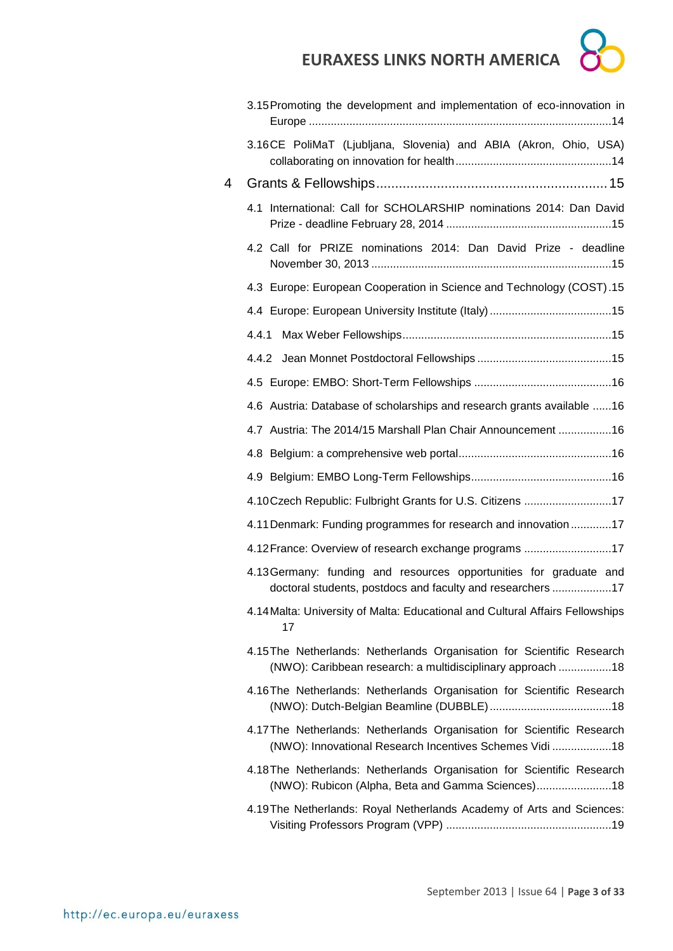|   | <b>EURAXESS LINKS NORTH AMERICA</b>                                                                                                  |
|---|--------------------------------------------------------------------------------------------------------------------------------------|
|   | 3.15 Promoting the development and implementation of eco-innovation in                                                               |
|   | 3.16CE PoliMaT (Ljubljana, Slovenia) and ABIA (Akron, Ohio, USA)                                                                     |
| 4 |                                                                                                                                      |
|   | International: Call for SCHOLARSHIP nominations 2014: Dan David<br>4.1                                                               |
|   | 4.2 Call for PRIZE nominations 2014: Dan David Prize - deadline                                                                      |
|   | 4.3 Europe: European Cooperation in Science and Technology (COST).15                                                                 |
|   |                                                                                                                                      |
|   | 4.4.1                                                                                                                                |
|   |                                                                                                                                      |
|   |                                                                                                                                      |
|   | 4.6 Austria: Database of scholarships and research grants available 16                                                               |
|   | 4.7 Austria: The 2014/15 Marshall Plan Chair Announcement 16                                                                         |
|   |                                                                                                                                      |
|   |                                                                                                                                      |
|   | 4.10Czech Republic: Fulbright Grants for U.S. Citizens 17                                                                            |
|   | 4.11 Denmark: Funding programmes for research and innovation17                                                                       |
|   | 4.12 France: Overview of research exchange programs 17                                                                               |
|   | 4.13 Germany: funding and resources opportunities for graduate and<br>doctoral students, postdocs and faculty and researchers 17     |
|   | 4.14 Malta: University of Malta: Educational and Cultural Affairs Fellowships<br>17                                                  |
|   | 4.15 The Netherlands: Netherlands Organisation for Scientific Research<br>(NWO): Caribbean research: a multidisciplinary approach 18 |
|   | 4.16 The Netherlands: Netherlands Organisation for Scientific Research                                                               |
|   | 4.17 The Netherlands: Netherlands Organisation for Scientific Research<br>(NWO): Innovational Research Incentives Schemes Vidi 18    |
|   | 4.18 The Netherlands: Netherlands Organisation for Scientific Research<br>(NWO): Rubicon (Alpha, Beta and Gamma Sciences)18          |
|   | 4.19The Netherlands: Royal Netherlands Academy of Arts and Sciences:                                                                 |

r  $\overline{\phantom{a}}$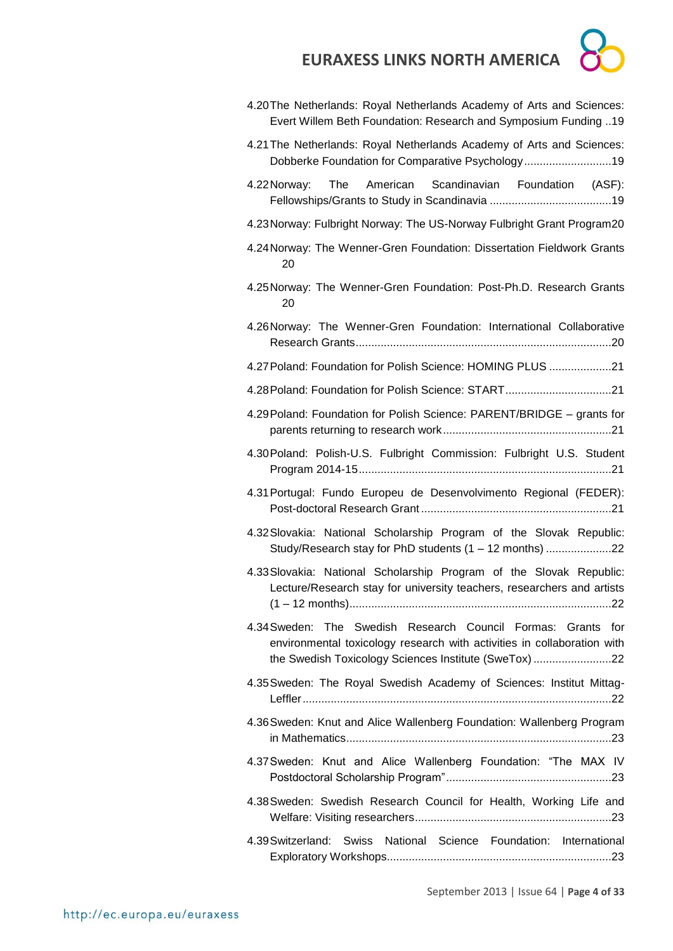| × |  |
|---|--|
|   |  |
|   |  |
|   |  |

| 4.20 The Netherlands: Royal Netherlands Academy of Arts and Sciences:<br>Evert Willem Beth Foundation: Research and Symposium Funding 19                                                           |
|----------------------------------------------------------------------------------------------------------------------------------------------------------------------------------------------------|
| 4.21 The Netherlands: Royal Netherlands Academy of Arts and Sciences:<br>Dobberke Foundation for Comparative Psychology19                                                                          |
| Scandinavian Foundation<br>The<br>American<br>4.22 Norway:<br>(ASF):                                                                                                                               |
| 4.23 Norway: Fulbright Norway: The US-Norway Fulbright Grant Program20                                                                                                                             |
| 4.24 Norway: The Wenner-Gren Foundation: Dissertation Fieldwork Grants<br>20                                                                                                                       |
| 4.25 Norway: The Wenner-Gren Foundation: Post-Ph.D. Research Grants<br>20                                                                                                                          |
| 4.26 Norway: The Wenner-Gren Foundation: International Collaborative                                                                                                                               |
| 4.27 Poland: Foundation for Polish Science: HOMING PLUS 21                                                                                                                                         |
| 4.28 Poland: Foundation for Polish Science: START21                                                                                                                                                |
| 4.29 Poland: Foundation for Polish Science: PARENT/BRIDGE - grants for                                                                                                                             |
| 4.30 Poland: Polish-U.S. Fulbright Commission: Fulbright U.S. Student                                                                                                                              |
| 4.31 Portugal: Fundo Europeu de Desenvolvimento Regional (FEDER):                                                                                                                                  |
| 4.32 Slovakia: National Scholarship Program of the Slovak Republic:<br>Study/Research stay for PhD students (1 - 12 months) 22                                                                     |
| 4.33 Slovakia: National Scholarship Program of the Slovak Republic:<br>Lecture/Research stay for university teachers, researchers and artists<br>.22                                               |
| 4.34 Sweden: The Swedish Research Council Formas: Grants<br>for<br>environmental toxicology research with activities in collaboration with<br>the Swedish Toxicology Sciences Institute (SweTox)22 |
| 4.35 Sweden: The Royal Swedish Academy of Sciences: Institut Mittag-                                                                                                                               |
| 4.36 Sweden: Knut and Alice Wallenberg Foundation: Wallenberg Program                                                                                                                              |
| 4.37 Sweden: Knut and Alice Wallenberg Foundation: "The MAX IV                                                                                                                                     |
| 4.38 Sweden: Swedish Research Council for Health, Working Life and                                                                                                                                 |
| 4.39 Switzerland: Swiss National Science Foundation: International                                                                                                                                 |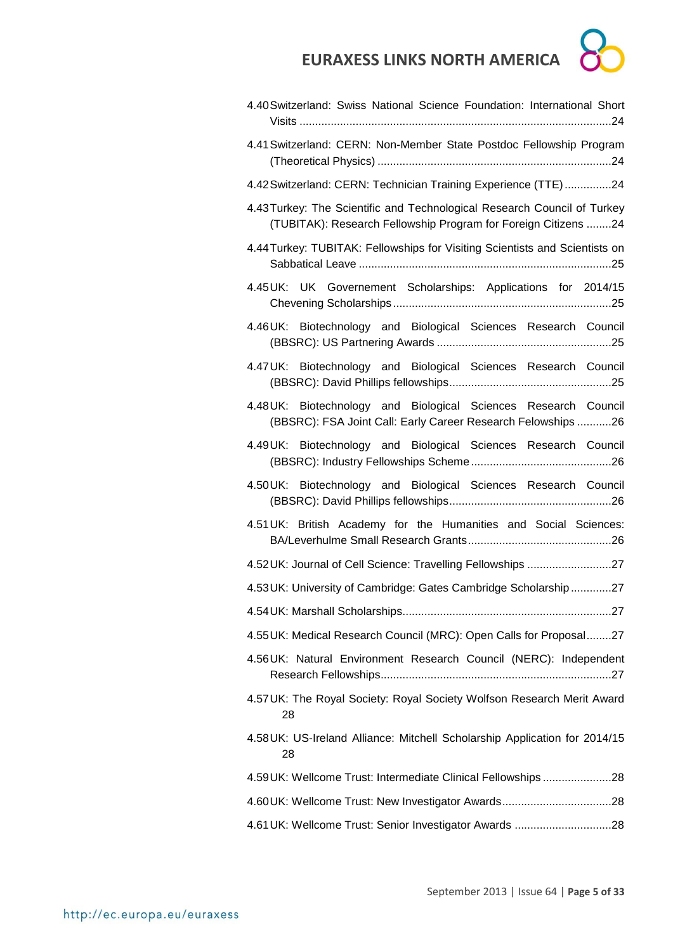

| 4.40 Switzerland: Swiss National Science Foundation: International Short                                                                   |  |  |  |  |  |
|--------------------------------------------------------------------------------------------------------------------------------------------|--|--|--|--|--|
| 4.41 Switzerland: CERN: Non-Member State Postdoc Fellowship Program                                                                        |  |  |  |  |  |
| 4.42 Switzerland: CERN: Technician Training Experience (TTE)24                                                                             |  |  |  |  |  |
| 4.43 Turkey: The Scientific and Technological Research Council of Turkey<br>(TUBITAK): Research Fellowship Program for Foreign Citizens 24 |  |  |  |  |  |
| 4.44 Turkey: TUBITAK: Fellowships for Visiting Scientists and Scientists on                                                                |  |  |  |  |  |
| 4.45UK: UK Governement Scholarships: Applications for 2014/15                                                                              |  |  |  |  |  |
| 4.46UK: Biotechnology and Biological Sciences Research Council                                                                             |  |  |  |  |  |
| 4.47UK: Biotechnology and Biological Sciences Research Council                                                                             |  |  |  |  |  |
| 4.48UK: Biotechnology and Biological Sciences Research Council<br>(BBSRC): FSA Joint Call: Early Career Research Felowships 26             |  |  |  |  |  |
| 4.49UK: Biotechnology and Biological Sciences Research Council                                                                             |  |  |  |  |  |
| 4.50UK: Biotechnology and Biological Sciences Research Council                                                                             |  |  |  |  |  |
| 4.51 UK: British Academy for the Humanities and Social Sciences:                                                                           |  |  |  |  |  |
| 4.52UK: Journal of Cell Science: Travelling Fellowships 27                                                                                 |  |  |  |  |  |
| 4.53 UK: University of Cambridge: Gates Cambridge Scholarship27                                                                            |  |  |  |  |  |
|                                                                                                                                            |  |  |  |  |  |
| 4.55 UK: Medical Research Council (MRC): Open Calls for Proposal27                                                                         |  |  |  |  |  |
| 4.56UK: Natural Environment Research Council (NERC): Independent                                                                           |  |  |  |  |  |
| 4.57 UK: The Royal Society: Royal Society Wolfson Research Merit Award<br>28                                                               |  |  |  |  |  |
| 4.58 UK: US-Ireland Alliance: Mitchell Scholarship Application for 2014/15<br>28                                                           |  |  |  |  |  |
| 4.59 UK: Wellcome Trust: Intermediate Clinical Fellowships28                                                                               |  |  |  |  |  |
|                                                                                                                                            |  |  |  |  |  |
|                                                                                                                                            |  |  |  |  |  |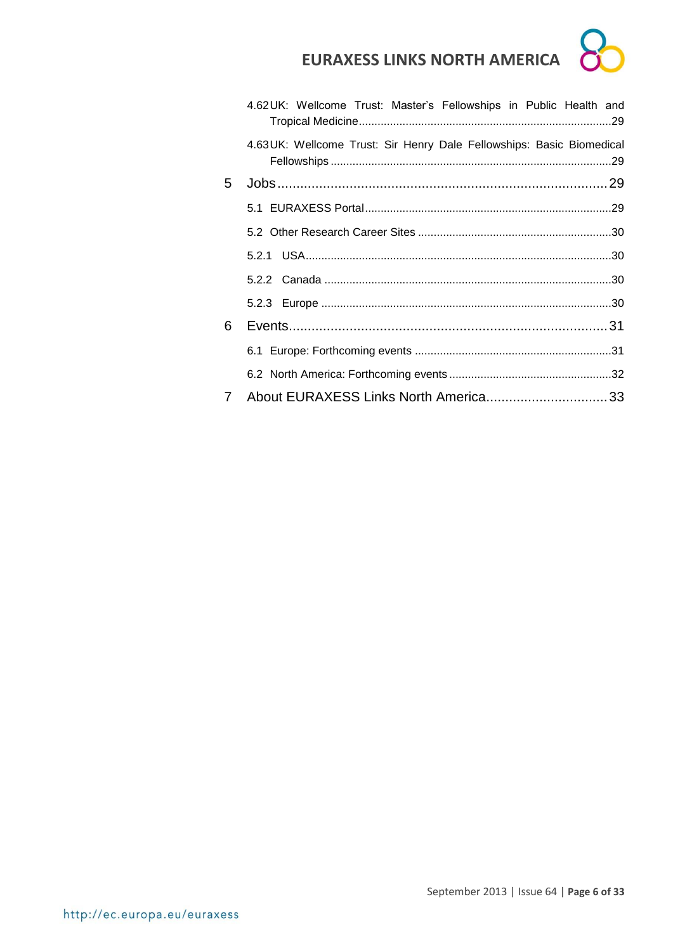|                 | 4.62UK: Wellcome Trust: Master's Fellowships in Public Health and    |  |
|-----------------|----------------------------------------------------------------------|--|
|                 | 4.63UK: Wellcome Trust: Sir Henry Dale Fellowships: Basic Biomedical |  |
| 5.              |                                                                      |  |
|                 |                                                                      |  |
|                 |                                                                      |  |
|                 |                                                                      |  |
|                 |                                                                      |  |
|                 |                                                                      |  |
| 6               |                                                                      |  |
|                 |                                                                      |  |
|                 |                                                                      |  |
| $7\phantom{.0}$ |                                                                      |  |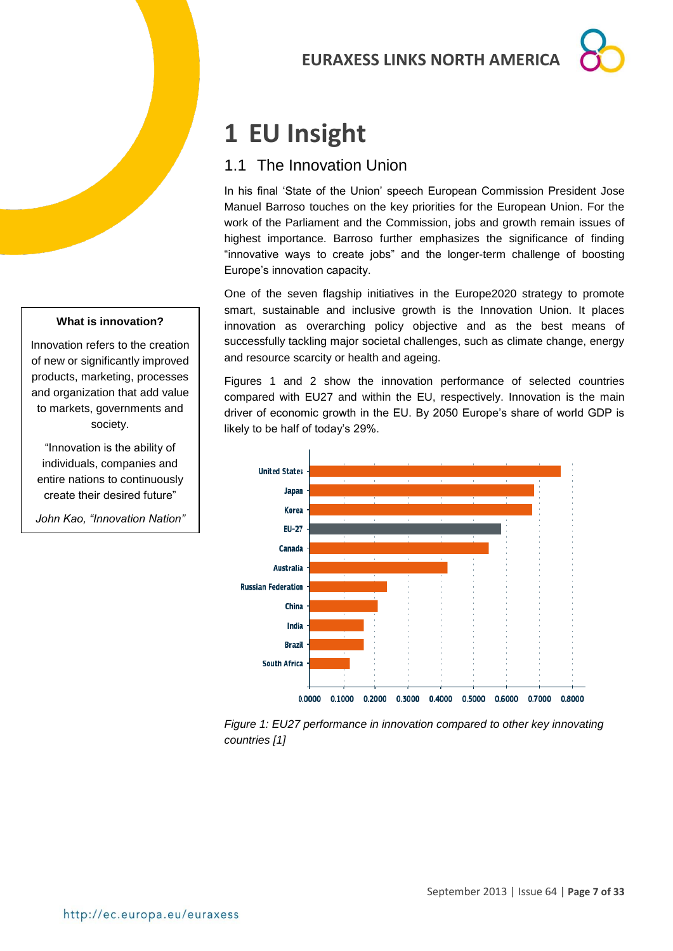## <span id="page-6-0"></span>**1 EU Insight**

### <span id="page-6-1"></span>1.1 The Innovation Union

In his final 'State of the Union' speech European Commission President Jose Manuel Barroso touches on the key priorities for the European Union. For the work of the Parliament and the Commission, jobs and growth remain issues of highest importance. Barroso further emphasizes the significance of finding "innovative ways to create jobs" and the longer-term challenge of boosting Europe's innovation capacity.

One of the seven flagship initiatives in the Europe2020 strategy to promote smart, sustainable and inclusive growth is the Innovation Union. It places innovation as overarching policy objective and as the best means of successfully tackling major societal challenges, such as climate change, energy and resource scarcity or health and ageing.

Figures 1 and 2 show the innovation performance of selected countries compared with EU27 and within the EU, respectively. Innovation is the main driver of economic growth in the EU. By 2050 Europe's share of world GDP is likely to be half of today's 29%.



*Figure 1: EU27 performance in innovation compared to other key innovating countries [1]*

#### **What is innovation?**

Innovation refers to the creation of new or significantly improved products, marketing, processes and organization that add value to markets, governments and society.

"Innovation is the ability of individuals, companies and entire nations to continuously create their desired future"

*John Kao, "Innovation Nation"* (2007)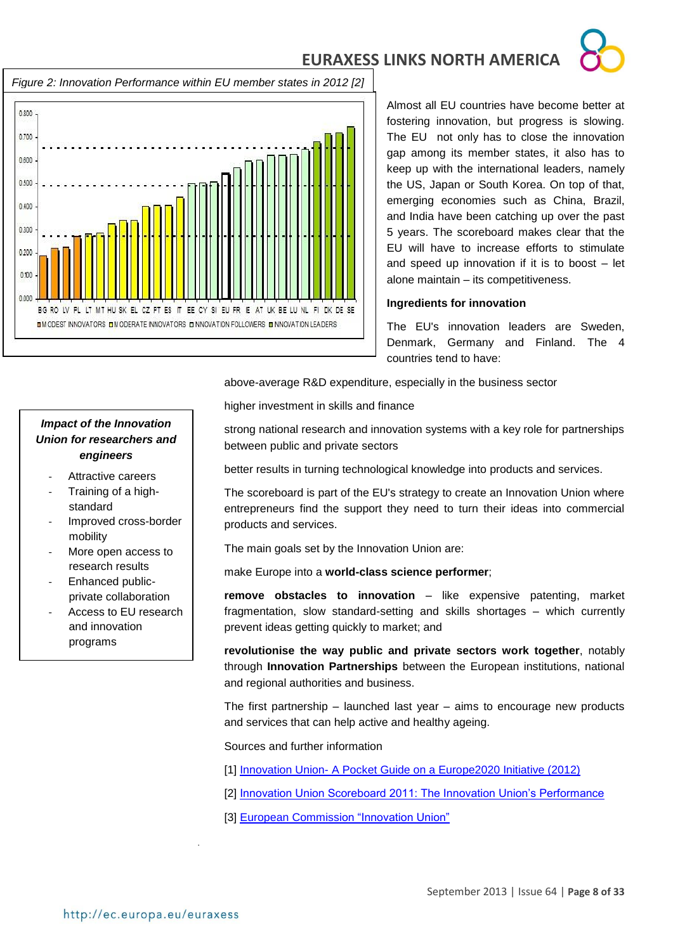

*Figure 2: Innovation Performance within EU member states in 2012 [2]*



Almost all EU countries have become better at fostering innovation, but progress is slowing. The EU not only has to close the innovation gap among its member states, it also has to keep up with the international leaders, namely the US, Japan or South Korea. On top of that, emerging economies such as China, Brazil, and India have been catching up over the past 5 years. The scoreboard makes clear that the EU will have to increase efforts to stimulate and speed up innovation if it is to boost – let alone maintain – its competitiveness.

#### **Ingredients for innovation**

The EU's innovation leaders are Sweden, Denmark, Germany and Finland. The 4 countries tend to have:

above-average R&D expenditure, especially in the business sector

#### *Impact of the Innovation Union for researchers and engineers*

- Attractive careers
- Training of a highstandard
- Improved cross-border mobility
- More open access to research results
- Enhanced publicprivate collaboration
- Access to EU research and innovation programs

higher investment in skills and finance

strong national research and innovation systems with a key role for partnerships between public and private sectors

better results in turning technological knowledge into products and services.

The scoreboard is part of the EU's strategy to create an Innovation Union where entrepreneurs find the support they need to turn their ideas into commercial products and services.

The main goals set by the Innovation Union are:

make Europe into a **world-class science performer**;

**remove obstacles to innovation** – like expensive patenting, market fragmentation, slow standard-setting and skills shortages – which currently prevent ideas getting quickly to market; and

**revolutionise the way public and private sectors work together**, notably through **Innovation Partnerships** between the European institutions, national and regional authorities and business.

The first partnership  $-$  launched last year  $-$  aims to encourage new products and services that can help active and healthy ageing.

#### Sources and further information

- [1] Innovation Union- [A Pocket Guide on a Europe2020 Initiative \(2012\)](http://bookshop.europa.eu/en/innovation-union-pbKI3112747/?CatalogCategoryID=Gj0KABst5F4AAAEjsZAY4e5L)
- [2] **Innovation Union Scoreboard 2011: The Innovation Union's Performance**
- [3] [European Commission "Innovation Union"](http://ec.europa.eu/research/innovation-union/index_en.cfm)

.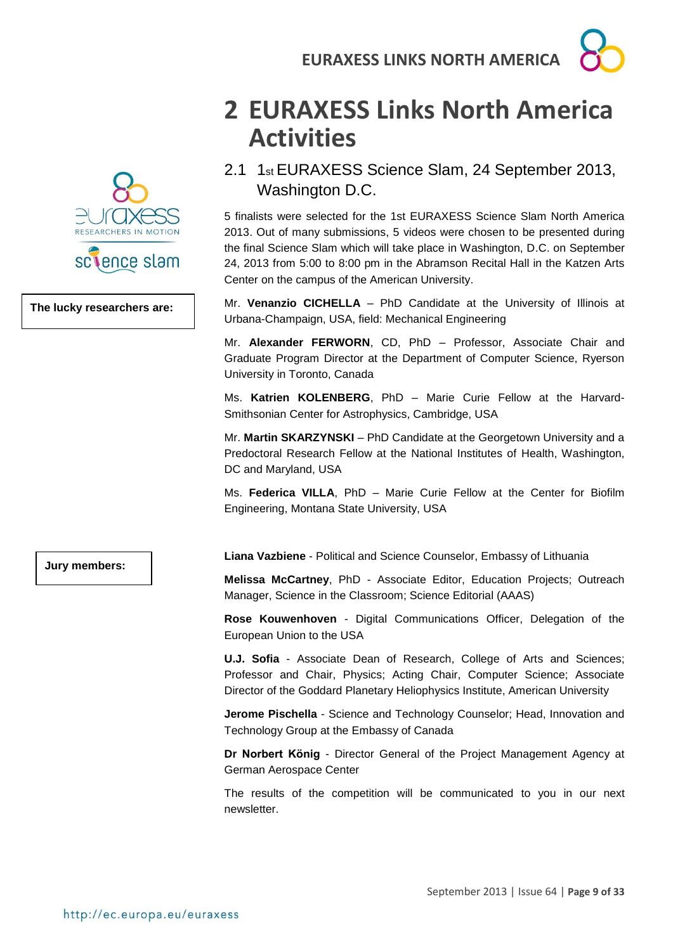

**The lucky researchers are:**

## <span id="page-8-0"></span>**2 EURAXESS Links North America Activities**

<span id="page-8-1"></span>2.1 1st EURAXESS Science Slam, 24 September 2013, Washington D.C.

5 finalists were selected for the 1st EURAXESS Science Slam North America 2013. Out of many submissions, 5 videos were chosen to be presented during the final Science Slam which will take place in Washington, D.C. on September 24, 2013 from 5:00 to 8:00 pm in the Abramson Recital Hall in the Katzen Arts Center on the campus of the American University.

Mr. **Venanzio CICHELLA** – PhD Candidate at the University of Illinois at Urbana-Champaign, USA, field: Mechanical Engineering

Mr. **Alexander FERWORN**, CD, PhD – Professor, Associate Chair and Graduate Program Director at the Department of Computer Science, Ryerson University in Toronto, Canada

Ms. **Katrien KOLENBERG**, PhD – Marie Curie Fellow at the Harvard-Smithsonian Center for Astrophysics, Cambridge, USA

Mr. **Martin SKARZYNSKI** – PhD Candidate at the Georgetown University and a Predoctoral Research Fellow at the National Institutes of Health, Washington, DC and Maryland, USA

Ms. **Federica VILLA**, PhD – Marie Curie Fellow at the Center for Biofilm Engineering, Montana State University, USA

**Jury members:**

**Liana Vazbiene** - Political and Science Counselor, Embassy of Lithuania

**Melissa McCartney**, PhD - Associate Editor, Education Projects; Outreach Manager, Science in the Classroom; Science Editorial (AAAS)

**Rose Kouwenhoven** - Digital Communications Officer, Delegation of the European Union to the USA

**U.J. Sofia** - Associate Dean of Research, College of Arts and Sciences; Professor and Chair, Physics; Acting Chair, Computer Science; Associate Director of the Goddard Planetary Heliophysics Institute, American University

**Jerome Pischella** - Science and Technology Counselor; Head, Innovation and Technology Group at the Embassy of Canada

**Dr Norbert König** - Director General of the Project Management Agency at German Aerospace Center

The results of the competition will be communicated to you in our next newsletter.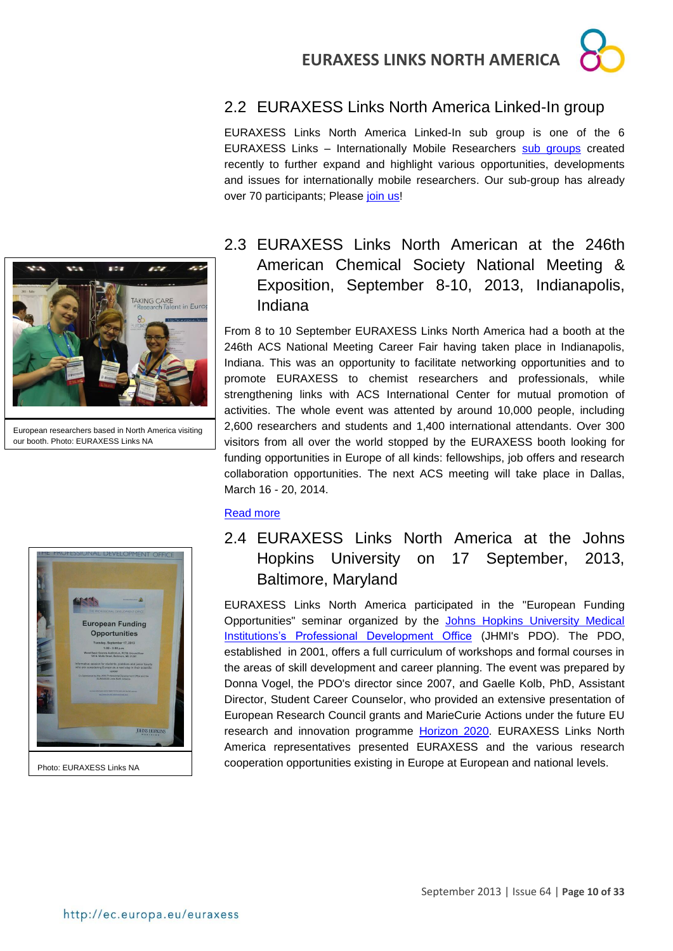### <span id="page-9-0"></span>2.2 EURAXESS Links North America Linked-In group

EURAXESS Links North America Linked-In sub group is one of the 6 EURAXESS Links – Internationally Mobile Researchers [sub groups](http://www.linkedin.com/groups/EURAXESS-Links-Internationally-Mobile-Researchers-4990889/about) created recently to further expand and highlight various opportunities, developments and issues for internationally mobile researchers. Our sub-group has already over 70 participants; Please [join us!](http://www.linkedin.com/groups?gid=5024130&sharedKey=7FFA9138CE03&trk=anetsrch_name&goback=.anh_4990889_1379521181926_1)



European researchers based in North America visiting our booth. Photo: EURAXESS Links NA



#### Photo: EURAXESS Links NA

### <span id="page-9-1"></span>2.3 EURAXESS Links North American at the 246th American Chemical Society National Meeting & Exposition, September 8-10, 2013, Indianapolis, Indiana

From 8 to 10 September EURAXESS Links North America had a booth at the 246th ACS National Meeting Career Fair having taken place in Indianapolis, Indiana. This was an opportunity to facilitate networking opportunities and to promote EURAXESS to chemist researchers and professionals, while strengthening links with ACS International Center for mutual promotion of activities. The whole event was attented by around 10,000 people, including 2,600 researchers and students and 1,400 international attendants. Over 300 visitors from all over the world stopped by the EURAXESS booth looking for funding opportunities in Europe of all kinds: fellowships, job offers and research collaboration opportunities. The next ACS meeting will take place in Dallas, March 16 - 20, 2014.

#### [Read more](http://www.acs.org/content/acs/en/meetings/fall-2013.html)

### <span id="page-9-2"></span>2.4 EURAXESS Links North America at the Johns Hopkins University on 17 September, 2013, Baltimore, Maryland

EURAXESS Links North America participated in the "European Funding Opportunities" seminar organized by the [Johns Hopkins University Medical](http://www.jhu.edu/~pdo/)  [Institutions's Professional Development Office](http://www.jhu.edu/~pdo/) (JHMI's PDO). The PDO, established in 2001, offers a full curriculum of workshops and formal courses in the areas of skill development and career planning. The event was prepared by Donna Vogel, the PDO's director since 2007, and Gaelle Kolb, PhD, Assistant Director, Student Career Counselor, who provided an extensive presentation of European Research Council grants and MarieCurie Actions under the future EU research and innovation programme [Horizon 2020.](http://ec.europa.eu/research/horizon2020/index_en.cfm?pg=home) EURAXESS Links North America representatives presented EURAXESS and the various research cooperation opportunities existing in Europe at European and national levels.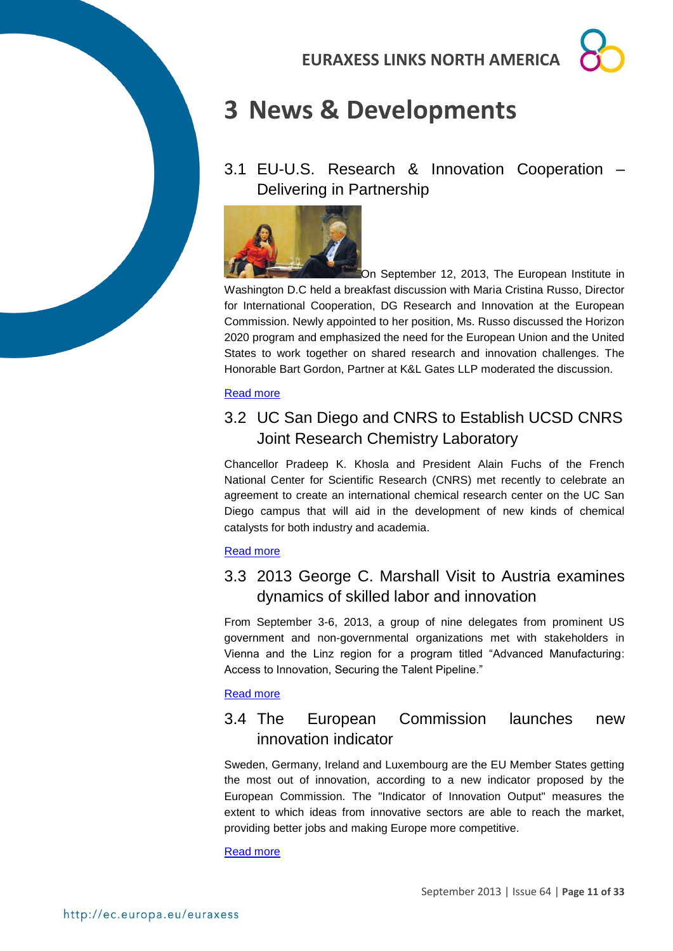## <span id="page-10-0"></span>**3 News & Developments**

<span id="page-10-1"></span>3.1 EU-U.S. Research & Innovation Cooperation – Delivering in Partnership



On September 12, 2013, The European Institute in Washington D.C held a breakfast discussion with Maria Cristina Russo, Director for International Cooperation, DG Research and Innovation at the European Commission. Newly appointed to her position, Ms. Russo discussed the Horizon 2020 program and emphasized the need for the European Union and the United States to work together on shared research and innovation challenges. The Honorable Bart Gordon, Partner at K&L Gates LLP moderated the discussion.

#### [Read more](http://www.europeaninstitute.org/)

### <span id="page-10-2"></span>3.2 UC San Diego and CNRS to Establish UCSD CNRS Joint Research Chemistry Laboratory

Chancellor Pradeep K. Khosla and President Alain Fuchs of the French National Center for Scientific Research (CNRS) met recently to celebrate an agreement to create an international chemical research center on the UC San Diego campus that will aid in the development of new kinds of chemical catalysts for both industry and academia.

#### [Read more](http://www.sandiegosun.com/index.php/sid/216996443/scat/3f3115f526d2b2d1)

### <span id="page-10-3"></span>3.3 2013 George C. Marshall Visit to Austria examines dynamics of skilled labor and innovation

From September 3-6, 2013, a group of nine delegates from prominent US government and non-governmental organizations met with stakeholders in Vienna and the Linz region for a program titled "Advanced Manufacturing: Access to Innovation, Securing the Talent Pipeline."

#### [Read more](http://www.advantageaustria.org/us/oesterreich-in-united-states/news/lokal/US_Experts_Focus_on_Austrian_Approach_to_Innovation_.en.html)

### <span id="page-10-4"></span>3.4 The European Commission launches new innovation indicator

Sweden, Germany, Ireland and Luxembourg are the EU Member States getting the most out of innovation, according to a new indicator proposed by the European Commission. The "Indicator of Innovation Output" measures the extent to which ideas from innovative sectors are able to reach the market, providing better jobs and making Europe more competitive.

[Read more](http://europa.eu/rapid/press-release_IP-13-831_en.htm)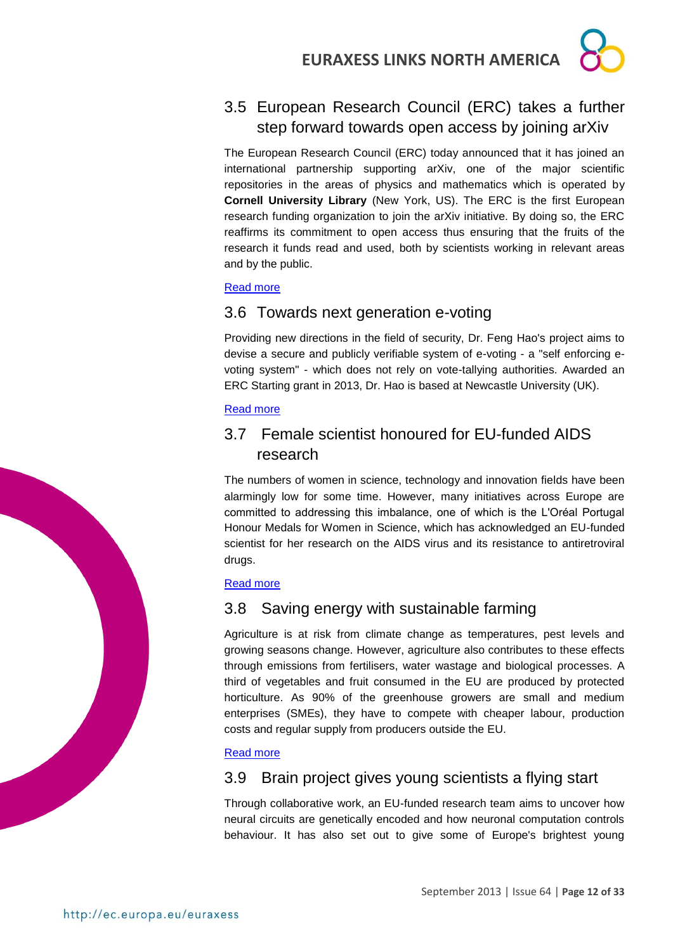### <span id="page-11-0"></span>3.5 European Research Council (ERC) takes a further step forward towards open access by joining arXiv

The European Research Council (ERC) today announced that it has joined an international partnership supporting arXiv, one of the major scientific repositories in the areas of physics and mathematics which is operated by **Cornell University Library** (New York, US). The ERC is the first European research funding organization to join the arXiv initiative. By doing so, the ERC reaffirms its commitment to open access thus ensuring that the fruits of the research it funds read and used, both by scientists working in relevant areas and by the public.

#### [Read more](http://erc.europa.eu/)

### <span id="page-11-1"></span>3.6 Towards next generation e-voting

Providing new directions in the field of security, Dr. Feng Hao's project aims to devise a secure and publicly verifiable system of e-voting - a "self enforcing evoting system" - which does not rely on vote-tallying authorities. Awarded an ERC Starting grant in 2013, Dr. Hao is based at Newcastle University (UK).

#### [Read more](http://ec.europa.eu/research/infocentre/article_en.cfm?id=/research/headlines/news/article_13_09_17_en.html&item=All&artid=31074&caller=SuccessStories)

### <span id="page-11-2"></span>3.7 Female scientist honoured for EU-funded AIDS research

The numbers of women in science, technology and innovation fields have been alarmingly low for some time. However, many initiatives across Europe are committed to addressing this imbalance, one of which is the L'Oréal Portugal Honour Medals for Women in Science, which has acknowledged an EU-funded scientist for her research on the AIDS virus and its resistance to antiretroviral drugs.

#### [Read more](http://ec.europa.eu/research/infocentre/article_en.cfm?id=/research/headlines/news/article_13_09_16_en.html&item=All&artid=31073&caller=SuccessStories)

### <span id="page-11-3"></span>3.8 Saving energy with sustainable farming

Agriculture is at risk from climate change as temperatures, pest levels and growing seasons change. However, agriculture also contributes to these effects through emissions from fertilisers, water wastage and biological processes. A third of vegetables and fruit consumed in the EU are produced by protected horticulture. As 90% of the greenhouse growers are small and medium enterprises (SMEs), they have to compete with cheaper labour, production costs and regular supply from producers outside the EU.

#### [Read more](http://ec.europa.eu/research/infocentre/article_en.cfm?id=/research/headlines/news/article_13_09_12_en.html&item=All&artid=31053&caller=SuccessStories)

### <span id="page-11-4"></span>3.9 Brain project gives young scientists a flying start

Through collaborative work, an EU-funded research team aims to uncover how neural circuits are genetically encoded and how neuronal computation controls behaviour. It has also set out to give some of Europe's brightest young

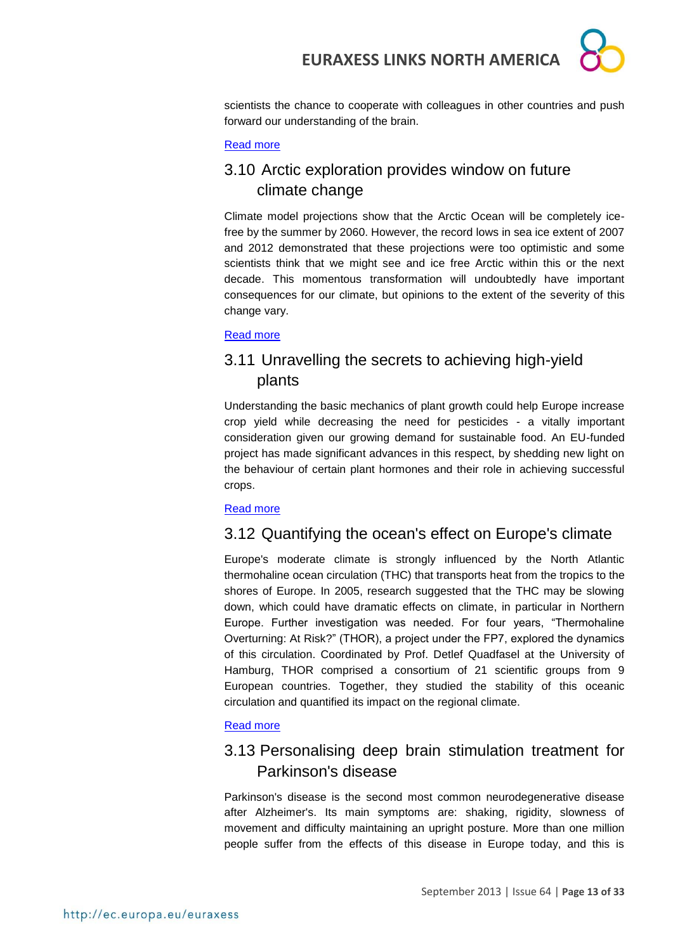

scientists the chance to cooperate with colleagues in other countries and push forward our understanding of the brain.

#### [Read more](http://ec.europa.eu/research/infocentre/article_en.cfm?id=/research/headlines/news/article_13_09_11_en.html&item=All&artid=31035&caller=SuccessStories)

### <span id="page-12-0"></span>3.10 Arctic exploration provides window on future climate change

Climate model projections show that the Arctic Ocean will be completely icefree by the summer by 2060. However, the record lows in sea ice extent of 2007 and 2012 demonstrated that these projections were too optimistic and some scientists think that we might see and ice free Arctic within this or the next decade. This momentous transformation will undoubtedly have important consequences for our climate, but opinions to the extent of the severity of this change vary.

[Read more](http://ec.europa.eu/research/infocentre/article_en.cfm?id=/research/headlines/news/article_13_09_10_en.html&item=All&artid=31034&caller=SuccessStories)

### <span id="page-12-1"></span>3.11 Unravelling the secrets to achieving high-yield plants

Understanding the basic mechanics of plant growth could help Europe increase crop yield while decreasing the need for pesticides - a vitally important consideration given our growing demand for sustainable food. An EU-funded project has made significant advances in this respect, by shedding new light on the behaviour of certain plant hormones and their role in achieving successful crops.

#### [Read more](http://ec.europa.eu/research/infocentre/article_en.cfm?id=/research/headlines/news/article_13_09_09_en.html&item=All&artid=31033&caller=SuccessStories)

#### <span id="page-12-2"></span>3.12 Quantifying the ocean's effect on Europe's climate

Europe's moderate climate is strongly influenced by the North Atlantic thermohaline ocean circulation (THC) that transports heat from the tropics to the shores of Europe. In 2005, research suggested that the THC may be slowing down, which could have dramatic effects on climate, in particular in Northern Europe. Further investigation was needed. For four years, "Thermohaline Overturning: At Risk?" (THOR), a project under the FP7, explored the dynamics of this circulation. Coordinated by Prof. Detlef Quadfasel at the University of Hamburg, THOR comprised a consortium of 21 scientific groups from 9 European countries. Together, they studied the stability of this oceanic circulation and quantified its impact on the regional climate.

#### [Read](http://ec.europa.eu/research/infocentre/article_en.cfm?id=/research/headlines/news/article_13_09_06_en.html&item=All&artid=31013&caller=SuccessStories) more

### <span id="page-12-3"></span>3.13 Personalising deep brain stimulation treatment for Parkinson's disease

Parkinson's disease is the second most common neurodegenerative disease after Alzheimer's. Its main symptoms are: shaking, rigidity, slowness of movement and difficulty maintaining an upright posture. More than one million people suffer from the effects of this disease in Europe today, and this is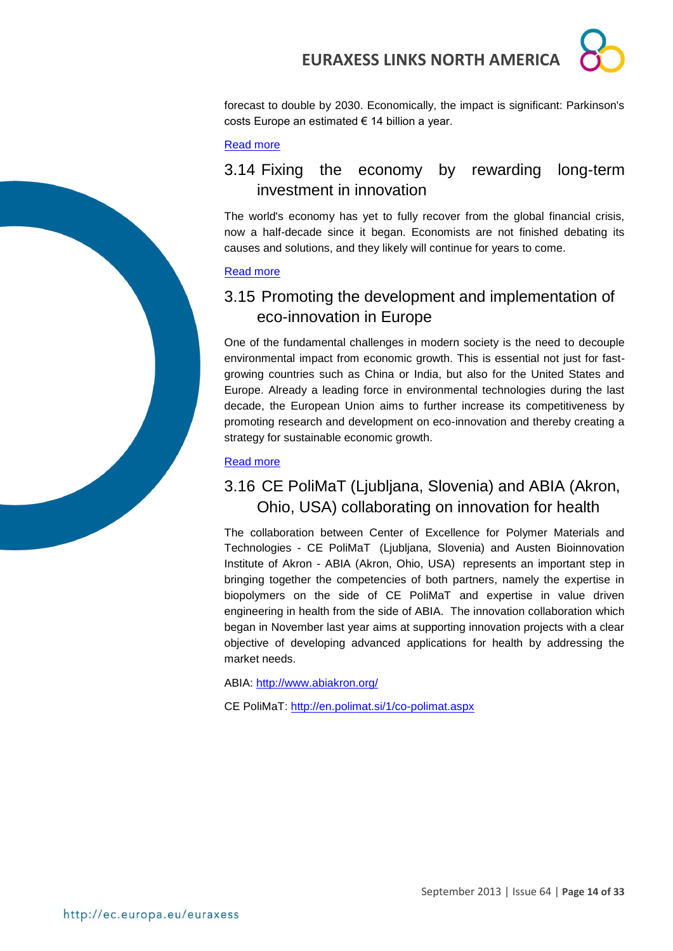

forecast to double by 2030. Economically, the impact is significant: Parkinson's costs Europe an estimated € 14 billion a year.

#### [Read more](http://ec.europa.eu/research/infocentre/article_en.cfm?id=/research/headlines/news/article_13_09_05_en.html&item=Infocentre&artid=30993)

### <span id="page-13-0"></span>3.14 Fixing the economy by rewarding long-term investment in innovation

The world's economy has yet to fully recover from the global financial crisis, now a half-decade since it began. Economists are not finished debating its causes and solutions, and they likely will continue for years to come.

#### [Read more](http://ec.europa.eu/research/infocentre/article_en.cfm?id=/research/headlines/news/article_13_08_29_en.html&item=All&artid=30953&caller=SuccessStories)

### <span id="page-13-1"></span>3.15 Promoting the development and implementation of eco-innovation in Europe

One of the fundamental challenges in modern society is the need to decouple environmental impact from economic growth. This is essential not just for fastgrowing countries such as China or India, but also for the United States and Europe. Already a leading force in environmental technologies during the last decade, the European Union aims to further increase its competitiveness by promoting research and development on eco-innovation and thereby creating a strategy for sustainable economic growth.

#### [Read more](http://ec.europa.eu/research/infocentre/article_en.cfm?id=/research/headlines/news/article_13_09_04_en.html&item=All&artid=30977&caller=SuccessStories)

### <span id="page-13-2"></span>3.16 CE PoliMaT (Ljubljana, Slovenia) and ABIA (Akron, Ohio, USA) collaborating on innovation for health

The collaboration between Center of Excellence for Polymer Materials and Technologies - CE PoliMaT (Ljubljana, Slovenia) and Austen Bioinnovation Institute of Akron - ABIA (Akron, Ohio, USA) represents an important step in bringing together the competencies of both partners, namely the expertise in biopolymers on the side of CE PoliMaT and expertise in value driven engineering in health from the side of ABIA. The innovation collaboration which began in November last year aims at supporting innovation projects with a clear objective of developing advanced applications for health by addressing the market needs.

ABIA: <http://www.abiakron.org/>

CE PoliMaT: <http://en.polimat.si/1/co-polimat.aspx>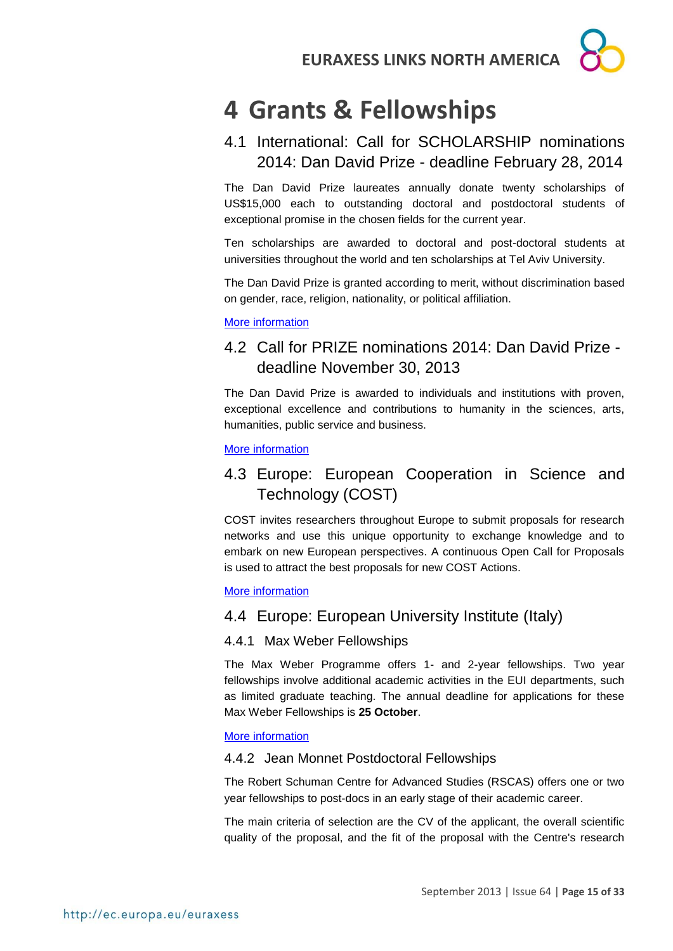

## <span id="page-14-0"></span>**4 Grants & Fellowships**

### <span id="page-14-1"></span>4.1 International: Call for SCHOLARSHIP nominations 2014: Dan David Prize - deadline February 28, 2014

The Dan David Prize laureates annually donate twenty scholarships of US\$15,000 each to outstanding doctoral and postdoctoral students of exceptional promise in the chosen fields for the current year.

Ten scholarships are awarded to doctoral and post-doctoral students at universities throughout the world and ten scholarships at Tel Aviv University.

The Dan David Prize is granted according to merit, without discrimination based on gender, race, religion, nationality, or political affiliation.

#### [More information](http://www.dandavidprize.org/)

### <span id="page-14-2"></span>4.2 Call for PRIZE nominations 2014: Dan David Prize deadline November 30, 2013

The Dan David Prize is awarded to individuals and institutions with proven, exceptional excellence and contributions to humanity in the sciences, arts, humanities, public service and business.

#### [More information](http://www.dandavidprize.org/)

### <span id="page-14-3"></span>4.3 Europe: European Cooperation in Science and Technology (COST)

COST invites researchers throughout Europe to submit proposals for research networks and use this unique opportunity to exchange knowledge and to embark on new European perspectives. A continuous Open Call for Proposals is used to attract the best proposals for new COST Actions.

#### [More information](http://www.cost.eu/participate/open_call)

#### <span id="page-14-4"></span>4.4 Europe: European University Institute (Italy)

#### <span id="page-14-5"></span>4.4.1 Max Weber Fellowships

The Max Weber Programme offers 1- and 2-year fellowships. Two year fellowships involve additional academic activities in the EUI departments, such as limited graduate teaching. The annual deadline for applications for these Max Weber Fellowships is **25 October**.

#### [More information](http://www.eui.eu/ServicesAndAdmin/AcademicService/Fellowships/MaxWeberFellowships/Index.aspx)

#### <span id="page-14-6"></span>4.4.2 Jean Monnet Postdoctoral Fellowships

The Robert Schuman Centre for Advanced Studies (RSCAS) offers one or two year fellowships to post-docs in an early stage of their academic career.

The main criteria of selection are the CV of the applicant, the overall scientific quality of the proposal, and the fit of the proposal with the Centre's research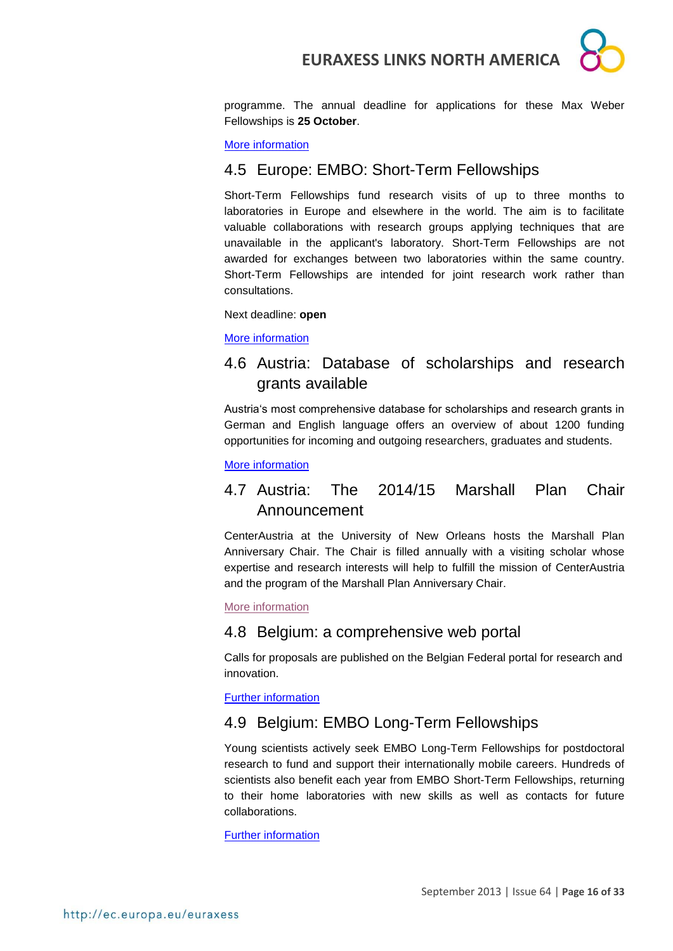

programme. The annual deadline for applications for these Max Weber Fellowships is **25 October**.

#### [More information](http://www.eui.eu/ServicesAndAdmin/AcademicService/Fellowships/JeanMonnetFellowships/Index.aspx)

#### <span id="page-15-0"></span>4.5 Europe: EMBO: Short-Term Fellowships

Short-Term Fellowships fund research visits of up to three months to laboratories in Europe and elsewhere in the world. The aim is to facilitate valuable collaborations with research groups applying techniques that are unavailable in the applicant's laboratory. Short-Term Fellowships are not awarded for exchanges between two laboratories within the same country. Short-Term Fellowships are intended for joint research work rather than consultations.

Next deadline: **open**

[More information](http://www.embo.org/funding-awards/fellowships/short-term-fellowships)

#### <span id="page-15-1"></span>4.6 Austria: Database of scholarships and research grants available

Austria's most comprehensive database for scholarships and research grants in German and English language offers an overview of about 1200 funding opportunities for incoming and outgoing researchers, graduates and students.

[More information](http://www.oead.at/index.php?id=737&L=1)

### <span id="page-15-2"></span>4.7 Austria: The 2014/15 Marshall Plan Chair Announcement

CenterAustria at the University of New Orleans hosts the Marshall Plan Anniversary Chair. The Chair is filled annually with a visiting scholar whose expertise and research interests will help to fulfill the mission of CenterAustria and the program of the Marshall Plan Anniversary Chair.

[More information](http://www.marshallplan.at/index.php/news-events/105-the-2014-15-marshall-plan-chair-announcement)

#### <span id="page-15-3"></span>4.8 Belgium: a comprehensive web portal

Calls for proposals are published on the Belgian Federal portal for research and innovation.

[Further information](http://www.research.be/ListURL/list.asp?KeyId=623&up=619)

#### <span id="page-15-4"></span>4.9 Belgium: EMBO Long-Term Fellowships

Young scientists actively seek EMBO Long-Term Fellowships for postdoctoral research to fund and support their internationally mobile careers. Hundreds of scientists also benefit each year from EMBO Short-Term Fellowships, returning to their home laboratories with new skills as well as contacts for future collaborations.

[Further information](http://www.embo.org/funding-awards/fellowships)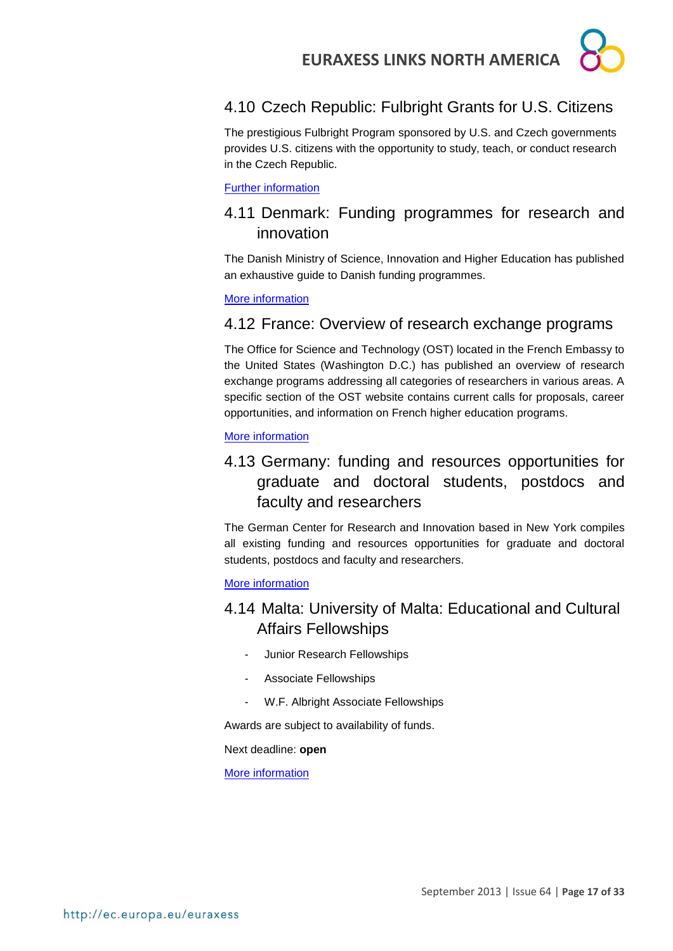

### <span id="page-16-0"></span>4.10 Czech Republic: Fulbright Grants for U.S. Citizens

The prestigious Fulbright Program sponsored by U.S. and Czech governments provides U.S. citizens with the opportunity to study, teach, or conduct research in the Czech Republic.

#### [Further information](http://www.fulbright.cz/fulbright-grants-us-citizens#basic)

### <span id="page-16-1"></span>4.11 Denmark: Funding programmes for research and innovation

The Danish Ministry of Science, Innovation and Higher Education has published an exhaustive guide to Danish funding programmes.

[More information](http://fivu.dk/en/research-and-innovation/funding-programmes-for-research-and-innovation/guide-to-funding)

#### <span id="page-16-2"></span>4.12 France: Overview of research exchange programs

The Office for Science and Technology (OST) located in the French Embassy to the United States (Washington D.C.) has published an overview of research exchange programs addressing all categories of researchers in various areas. A specific section of the OST website contains current calls for proposals, career opportunities, and information on French higher education programs.

#### [More information](http://france-science.org/USA-France-Mobility-Schemes.html)

### <span id="page-16-3"></span>4.13 Germany: funding and resources opportunities for graduate and doctoral students, postdocs and faculty and researchers

The German Center for Research and Innovation based in New York compiles all existing funding and resources opportunities for graduate and doctoral students, postdocs and faculty and researchers.

[More information](http://www.germaninnovation.org/resources/faculty-and-researchers)

### <span id="page-16-4"></span>4.14 Malta: University of Malta: Educational and Cultural Affairs Fellowships

- Junior Research Fellowships
- Associate Fellowships
- W.F. Albright Associate Fellowships

Awards are subject to availability of funds.

Next deadline: **open**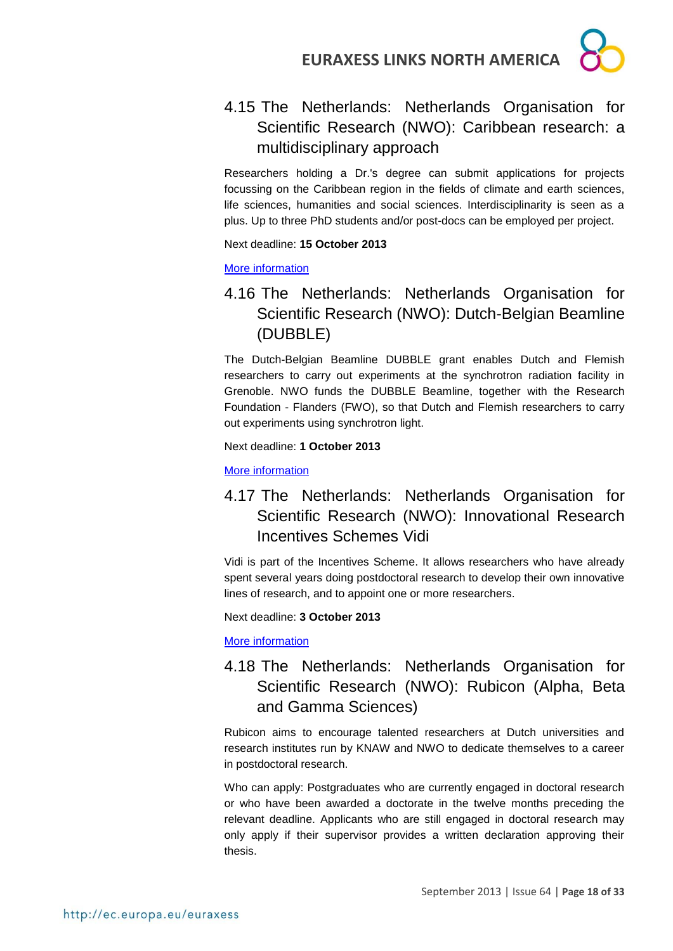

### <span id="page-17-0"></span>4.15 The Netherlands: Netherlands Organisation for Scientific Research (NWO): Caribbean research: a multidisciplinary approach

Researchers holding a Dr.'s degree can submit applications for projects focussing on the Caribbean region in the fields of climate and earth sciences, life sciences, humanities and social sciences. Interdisciplinarity is seen as a plus. Up to three PhD students and/or post-docs can be employed per project.

Next deadline: **15 October 2013**

[More information](http://www.nwo.nl/en/funding/our-funding-instruments/alw/caribbean-research-a-multi-disciplinary-approach/caribbean-research-a-multi-disciplinary-approach.html)

### <span id="page-17-1"></span>4.16 The Netherlands: Netherlands Organisation for Scientific Research (NWO): Dutch-Belgian Beamline (DUBBLE)

The Dutch-Belgian Beamline DUBBLE grant enables Dutch and Flemish researchers to carry out experiments at the synchrotron radiation facility in Grenoble. NWO funds the DUBBLE Beamline, together with the Research Foundation - Flanders (FWO), so that Dutch and Flemish researchers to carry out experiments using synchrotron light.

Next deadline: **1 October 2013**

[More information](http://www.nwo.nl/en/funding/our-funding-instruments/nwo/dutch-belgian-beamline/dutch-belgian-beamline.html)

### <span id="page-17-2"></span>4.17 The Netherlands: Netherlands Organisation for Scientific Research (NWO): Innovational Research Incentives Schemes Vidi

Vidi is part of the Incentives Scheme. It allows researchers who have already spent several years doing postdoctoral research to develop their own innovative lines of research, and to appoint one or more researchers.

Next deadline: **3 October 2013**

[More information](http://www.nwo.nl/en/funding/our-funding-instruments/Deadline/within+6+months/Open+for+application/true/Grant+type/Persoonsgebonden)

### <span id="page-17-3"></span>4.18 The Netherlands: Netherlands Organisation for Scientific Research (NWO): Rubicon (Alpha, Beta and Gamma Sciences)

Rubicon aims to encourage talented researchers at Dutch universities and research institutes run by KNAW and NWO to dedicate themselves to a career in postdoctoral research.

Who can apply: Postgraduates who are currently engaged in doctoral research or who have been awarded a doctorate in the twelve months preceding the relevant deadline. Applicants who are still engaged in doctoral research may only apply if their supervisor provides a written declaration approving their thesis.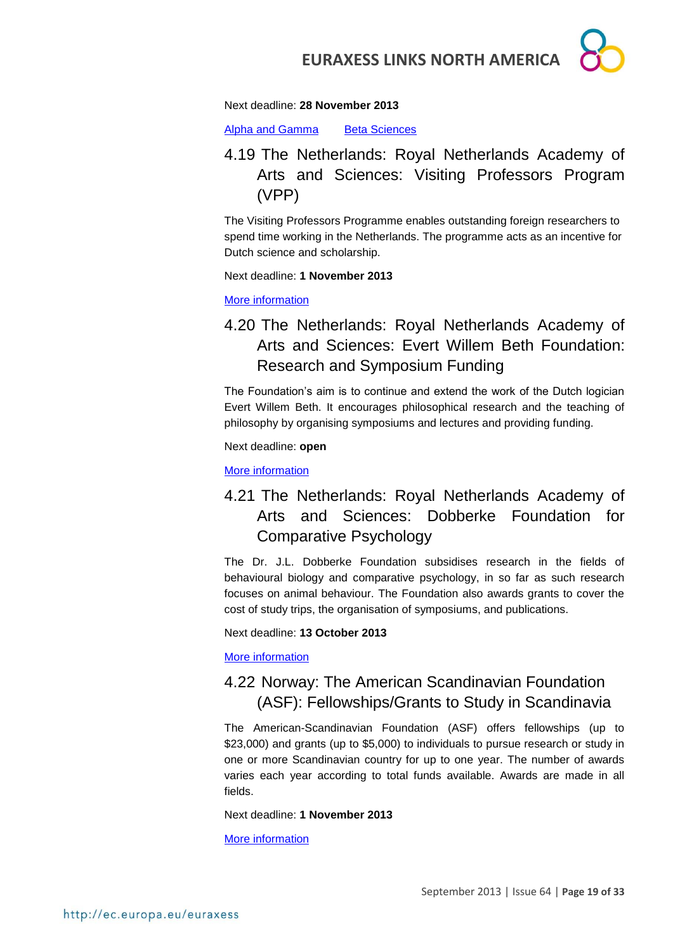

[Alpha and Gamma](http://www.nwo.nl/en/funding/our-funding-instruments/nwo/rubicon/rubicon---alpha-and-gamma-sciences/rubicon---alpha-and-gamma-sciences.html) Beta Sciences

### <span id="page-18-0"></span>4.19 The Netherlands: Royal Netherlands Academy of Arts and Sciences: Visiting Professors Program (VPP)

The Visiting Professors Programme enables outstanding foreign researchers to spend time working in the Netherlands. The programme acts as an incentive for Dutch science and scholarship.

Next deadline: **1 November 2013**

[More information](https://www.knaw.nl/en/prijzen/subsidies/visiting-professors-programme-vpp)

### <span id="page-18-1"></span>4.20 The Netherlands: Royal Netherlands Academy of Arts and Sciences: Evert Willem Beth Foundation: Research and Symposium Funding

The Foundation's aim is to continue and extend the work of the Dutch logician Evert Willem Beth. It encourages philosophical research and the teaching of philosophy by organising symposiums and lectures and providing funding.

Next deadline: **open**

[More information](https://www.knaw.nl/en/prijzen/subsidies/evert-willem-beth-stichting)

### <span id="page-18-2"></span>4.21 The Netherlands: Royal Netherlands Academy of Arts and Sciences: Dobberke Foundation for Comparative Psychology

The Dr. J.L. Dobberke Foundation subsidises research in the fields of behavioural biology and comparative psychology, in so far as such research focuses on animal behaviour. The Foundation also awards grants to cover the cost of study trips, the organisation of symposiums, and publications.

Next deadline: **13 October 2013**

[More information](https://www.knaw.nl/en/prijzen/subsidies/dobberke-stichting-voor-vergelijkende-psychologie)

### <span id="page-18-3"></span>4.22 Norway: The American Scandinavian Foundation (ASF): Fellowships/Grants to Study in Scandinavia

The American-Scandinavian Foundation (ASF) offers fellowships (up to \$23,000) and grants (up to \$5,000) to individuals to pursue research or study in one or more Scandinavian country for up to one year. The number of awards varies each year according to total funds available. Awards are made in all fields.

Next deadline: **1 November 2013**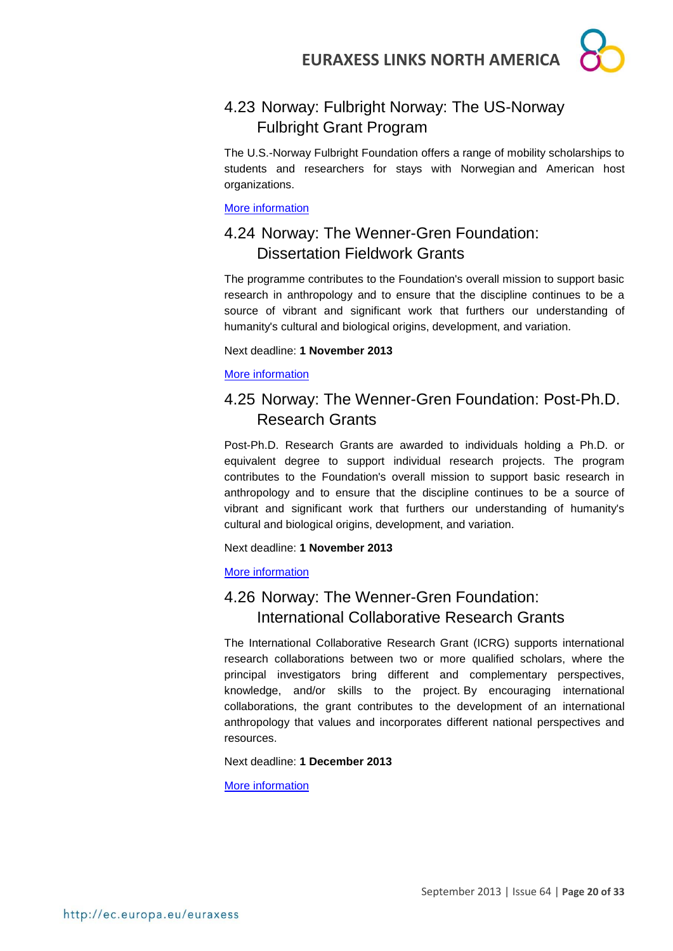### <span id="page-19-0"></span>4.23 Norway: Fulbright Norway: The US-Norway Fulbright Grant Program

The U.S.-Norway Fulbright Foundation offers a range of mobility scholarships to students and researchers for stays with Norwegian and American host organizations.

[More information](http://www.fulbright.no/en/grants/)

### <span id="page-19-1"></span>4.24 Norway: The Wenner-Gren Foundation: Dissertation Fieldwork Grants

The programme contributes to the Foundation's overall mission to support basic research in anthropology and to ensure that the discipline continues to be a source of vibrant and significant work that furthers our understanding of humanity's cultural and biological origins, development, and variation.

#### Next deadline: **1 November 2013**

[More information](http://www.wennergren.org/programs/dissertation-fieldwork-grants)

### <span id="page-19-2"></span>4.25 Norway: The Wenner-Gren Foundation: Post-Ph.D. Research Grants

Post-Ph.D. Research Grants are awarded to individuals holding a Ph.D. or equivalent degree to support individual research projects. The program contributes to the Foundation's overall mission to support basic research in anthropology and to ensure that the discipline continues to be a source of vibrant and significant work that furthers our understanding of humanity's cultural and biological origins, development, and variation.

Next deadline: **1 November 2013**

#### [More information](http://www.wennergren.org/programs/post-phd-research-grants)

### <span id="page-19-3"></span>4.26 Norway: The Wenner-Gren Foundation: International Collaborative Research Grants

The International Collaborative Research Grant (ICRG) supports international research collaborations between two or more qualified scholars, where the principal investigators bring different and complementary perspectives, knowledge, and/or skills to the project. By encouraging international collaborations, the grant contributes to the development of an international anthropology that values and incorporates different national perspectives and resources.

#### Next deadline: **1 December 2013**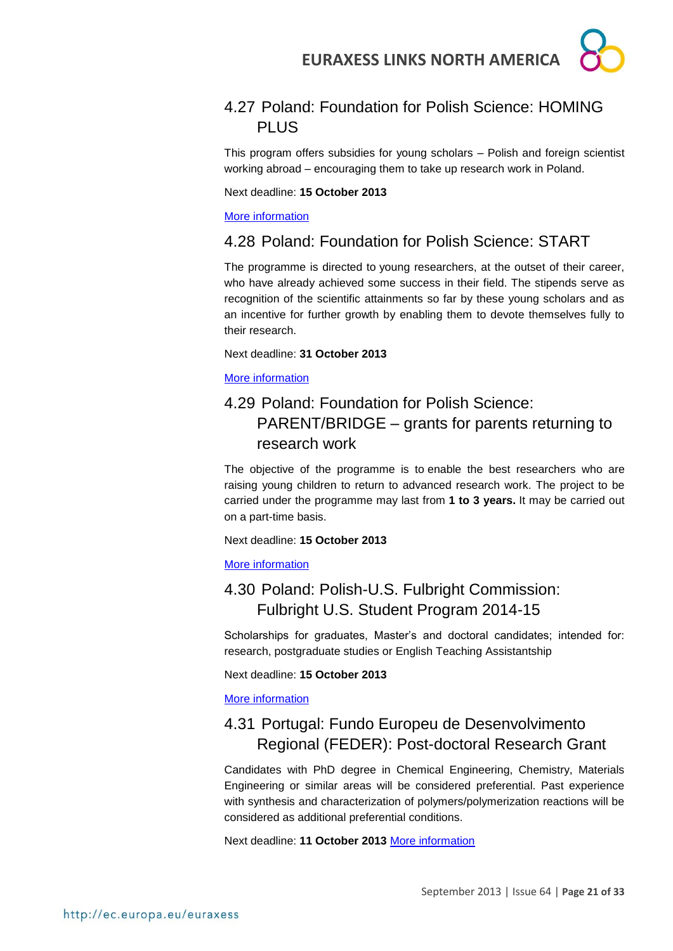### <span id="page-20-0"></span>4.27 Poland: Foundation for Polish Science: HOMING PLUS

This program offers subsidies for young scholars – Polish and foreign scientist working abroad – encouraging them to take up research work in Poland.

Next deadline: **15 October 2013**

[More information](http://www.fnp.org.pl/en/aktualnosci-konkurs-na-stanowisko-professor-of-polish-studies-na-uniwersytecie-columbia/)

#### <span id="page-20-1"></span>4.28 Poland: Foundation for Polish Science: START

The programme is directed to young researchers, at the outset of their career, who have already achieved some success in their field. The stipends serve as recognition of the scientific attainments so far by these young scholars and as an incentive for further growth by enabling them to devote themselves fully to their research.

Next deadline: **31 October 2013**

[More information](http://www.fnp.org.pl/en/oferta/start-2/)

### <span id="page-20-2"></span>4.29 Poland: Foundation for Polish Science: PARENT/BRIDGE – grants for parents returning to research work

The objective of the programme is to enable the best researchers who are raising young children to return to advanced research work. The project to be carried under the programme may last from **1 to 3 years.** It may be carried out on a part-time basis.

Next deadline: **15 October 2013**

[More information](http://www.fnp.org.pl/en/oferta/parentbrige-grants-for-parents-returning-to-research-work/)

### <span id="page-20-3"></span>4.30 Poland: Polish-U.S. Fulbright Commission: Fulbright U.S. Student Program 2014-15

Scholarships for graduates, Master's and doctoral candidates; intended for: research, postgraduate studies or English Teaching Assistantship

Next deadline: **15 October 2013**

[More information](http://us.fulbrightonline.org/fulbright-us-student-program)

### <span id="page-20-4"></span>4.31 Portugal: Fundo Europeu de Desenvolvimento Regional (FEDER): Post-doctoral Research Grant

Candidates with PhD degree in Chemical Engineering, Chemistry, Materials Engineering or similar areas will be considered preferential. Past experience with synthesis and characterization of polymers/polymerization reactions will be considered as additional preferential conditions.

Next deadline: **11 October 2013** [More information](http://www.euraxess.pt/jobs/?jobId=39019)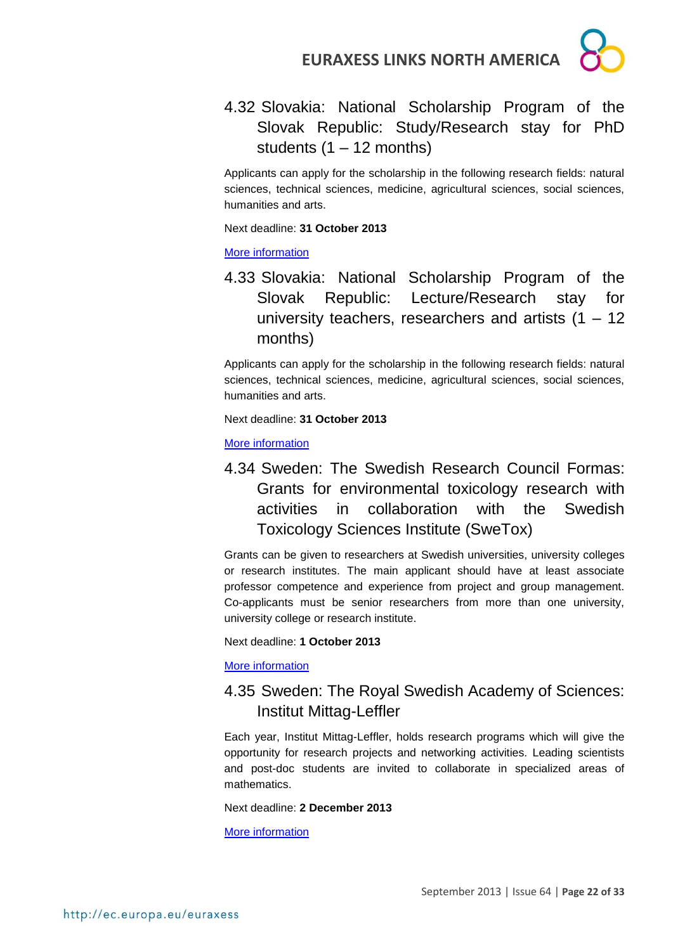

<span id="page-21-0"></span>4.32 Slovakia: National Scholarship Program of the Slovak Republic: Study/Research stay for PhD students  $(1 - 12$  months)

Applicants can apply for the scholarship in the following research fields: natural sciences, technical sciences, medicine, agricultural sciences, social sciences, humanities and arts.

Next deadline: **31 October 2013**

#### [More information](http://grants.saia.sk/Pages/ProgramDetail.aspx?Program=298)

<span id="page-21-1"></span>4.33 Slovakia: National Scholarship Program of the Slovak Republic: Lecture/Research stay for university teachers, researchers and artists  $(1 - 12)$ months)

Applicants can apply for the scholarship in the following research fields: natural sciences, technical sciences, medicine, agricultural sciences, social sciences, humanities and arts.

Next deadline: **31 October 2013**

[More information](http://grants.saia.sk/Pages/ProgramDetail.aspx?Program=299)

<span id="page-21-2"></span>4.34 Sweden: The Swedish Research Council Formas: Grants for environmental toxicology research with activities in collaboration with the Swedish Toxicology Sciences Institute (SweTox)

Grants can be given to researchers at Swedish universities, university colleges or research institutes. The main applicant should have at least associate professor competence and experience from project and group management. Co-applicants must be senior researchers from more than one university, university college or research institute.

Next deadline: **1 October 2013**

[More information](http://www.formas.se/en/Financing/Calls-For-Proposals/Aktuella/Grants-for-environmental-toxicology-research-with-activities-in-collaboration-with-the-Swedish-Toxicology-Sciences-Institute-SweTox/)

### <span id="page-21-3"></span>4.35 Sweden: The Royal Swedish Academy of Sciences: Institut Mittag-Leffler

Each year, Institut Mittag-Leffler, holds research programs which will give the opportunity for research projects and networking activities. Leading scientists and post-doc students are invited to collaborate in specialized areas of mathematics.

Next deadline: **2 December 2013**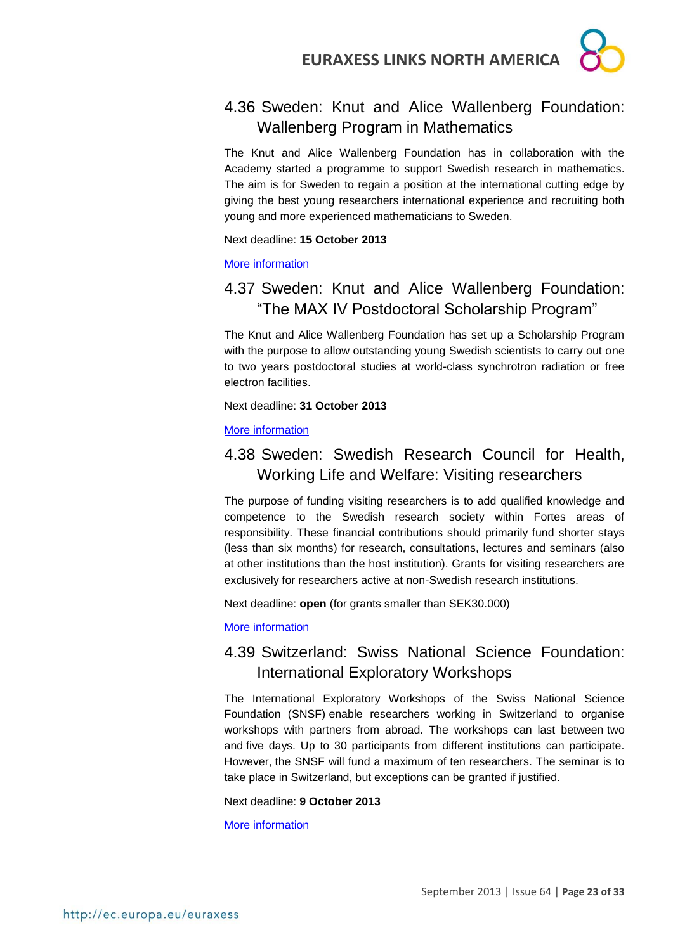

### <span id="page-22-0"></span>4.36 Sweden: Knut and Alice Wallenberg Foundation: Wallenberg Program in Mathematics

The Knut and Alice Wallenberg Foundation has in collaboration with the Academy started a programme to support Swedish research in mathematics. The aim is for Sweden to regain a position at the international cutting edge by giving the best young researchers international experience and recruiting both young and more experienced mathematicians to Sweden.

Next deadline: **15 October 2013**

#### [More information](http://www.wallenberg.com/kaw/en/funding-guide/calls/call-program-mathematics)

### <span id="page-22-1"></span>4.37 Sweden: Knut and Alice Wallenberg Foundation: "The MAX IV Postdoctoral Scholarship Program"

The Knut and Alice Wallenberg Foundation has set up a Scholarship Program with the purpose to allow outstanding young Swedish scientists to carry out one to two years postdoctoral studies at world-class synchrotron radiation or free electron facilities.

Next deadline: **31 October 2013**

#### [More information](http://www.wallenberg.com/kaw/en/call-max-iv-scholarship)

### <span id="page-22-2"></span>4.38 Sweden: Swedish Research Council for Health, Working Life and Welfare: Visiting researchers

The purpose of funding visiting researchers is to add qualified knowledge and competence to the Swedish research society within Fortes areas of responsibility. These financial contributions should primarily fund shorter stays (less than six months) for research, consultations, lectures and seminars (also at other institutions than the host institution). Grants for visiting researchers are exclusively for researchers active at non-Swedish research institutions.

Next deadline: **open** (for grants smaller than SEK30.000)

#### [More information](http://www.forte.se/en/Calls-for-proposals/Open-calls/Visiting-researchers/)

### <span id="page-22-3"></span>4.39 Switzerland: Swiss National Science Foundation: International Exploratory Workshops

The International Exploratory Workshops of the Swiss National Science Foundation (SNSF) enable researchers working in Switzerland to organise workshops with partners from abroad. The workshops can last between two and five days. Up to 30 participants from different institutions can participate. However, the SNSF will fund a maximum of ten researchers. The seminar is to take place in Switzerland, but exceptions can be granted if justified.

#### Next deadline: **9 October 2013**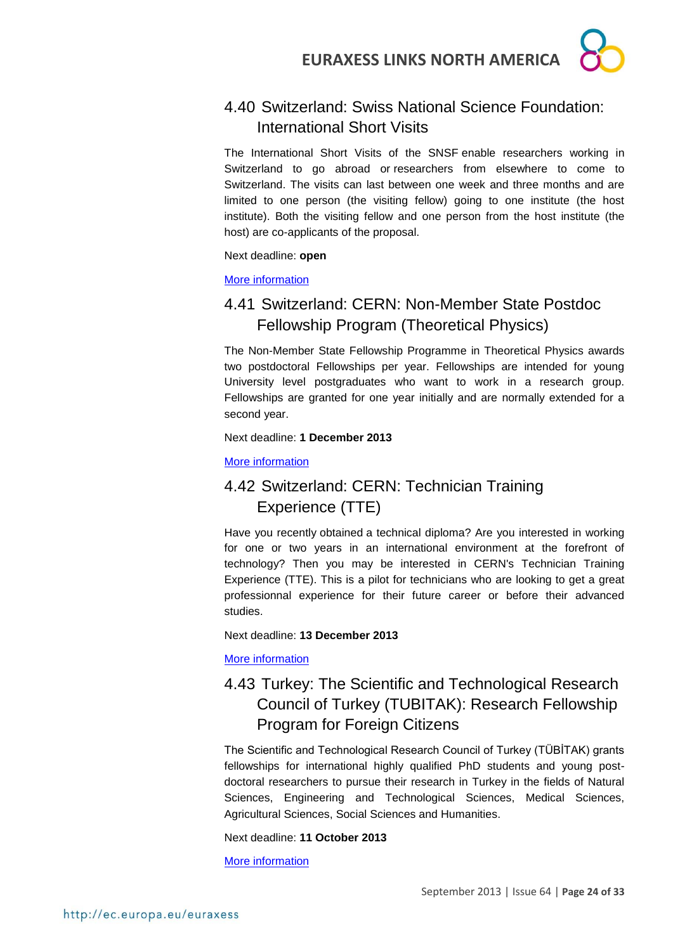### <span id="page-23-0"></span>4.40 Switzerland: Swiss National Science Foundation: International Short Visits

The International Short Visits of the SNSF enable researchers working in Switzerland to go abroad or researchers from elsewhere to come to Switzerland. The visits can last between one week and three months and are limited to one person (the visiting fellow) going to one institute (the host institute). Both the visiting fellow and one person from the host institute (the host) are co-applicants of the proposal.

Next deadline: **open**

[More information](http://www.snf.ch/SiteCollectionDocuments/int_eu_short_visits_e.pdf)

### <span id="page-23-1"></span>4.41 Switzerland: CERN: Non-Member State Postdoc Fellowship Program (Theoretical Physics)

The Non-Member State Fellowship Programme in Theoretical Physics awards two postdoctoral Fellowships per year. Fellowships are intended for young University level postgraduates who want to work in a research group. Fellowships are granted for one year initially and are normally extended for a second year.

Next deadline: **1 December 2013**

#### [More information](http://jobs.web.cern.ch/job/10747)

### <span id="page-23-2"></span>4.42 Switzerland: CERN: Technician Training Experience (TTE)

Have you recently obtained a technical diploma? Are you interested in working for one or two years in an international environment at the forefront of technology? Then you may be interested in CERN's Technician Training Experience (TTE). This is a pilot for technicians who are looking to get a great professionnal experience for their future career or before their advanced studies.

Next deadline: **13 December 2013**

[More information](http://jobs.web.cern.ch/job/10782)

### <span id="page-23-3"></span>4.43 Turkey: The Scientific and Technological Research Council of Turkey (TUBITAK): Research Fellowship Program for Foreign Citizens

The Scientific and Technological Research Council of Turkey (TÜBİTAK) grants fellowships for international highly qualified PhD students and young postdoctoral researchers to pursue their research in Turkey in the fields of Natural Sciences, Engineering and Technological Sciences, Medical Sciences, Agricultural Sciences, Social Sciences and Humanities.

#### Next deadline: **11 October 2013**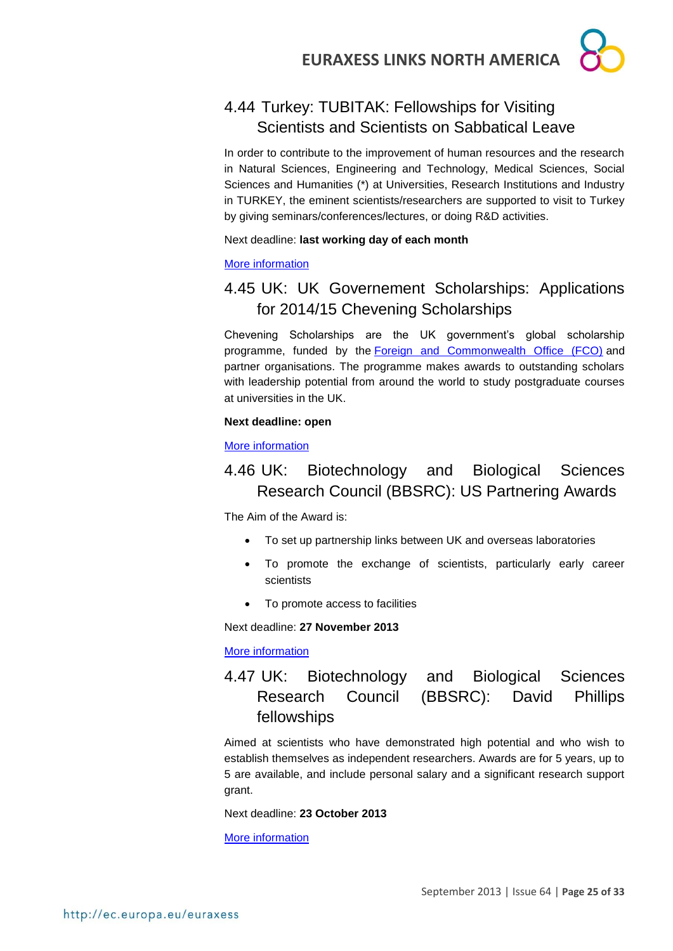### <span id="page-24-0"></span>4.44 Turkey: TUBITAK: Fellowships for Visiting Scientists and Scientists on Sabbatical Leave

In order to contribute to the improvement of human resources and the research in Natural Sciences, Engineering and Technology, Medical Sciences, Social Sciences and Humanities (\*) at Universities, Research Institutions and Industry in TURKEY, the eminent scientists/researchers are supported to visit to Turkey by giving seminars/conferences/lectures, or doing R&D activities.

#### Next deadline: **last working day of each month**

#### [More information](http://www.tubitak.gov.tr/en/scholarship/postdoctoral/international-programmes/content-2221-fellowships-for-visiting-scientists-and-scientists-on-sabbatical-leave)

### <span id="page-24-1"></span>4.45 UK: UK Governement Scholarships: Applications for 2014/15 Chevening Scholarships

Chevening Scholarships are the UK government's global scholarship programme, funded by the [Foreign and Commonwealth Office \(FCO\)](https://www.gov.uk/government/organisations/foreign-commonwealth-office) and partner organisations. The programme makes awards to outstanding scholars with leadership potential from around the world to study postgraduate courses at universities in the UK.

#### **Next deadline: open**

#### [More information](http://www.chevening.org/apply/)

### <span id="page-24-2"></span>4.46 UK: Biotechnology and Biological Sciences Research Council (BBSRC): US Partnering Awards

The Aim of the Award is:

- To set up partnership links between UK and overseas laboratories
- To promote the exchange of scientists, particularly early career scientists
- To promote access to facilities

Next deadline: **27 November 2013**

[More information](http://www.bbsrc.ac.uk/funding/internationalfunding/usa.aspx)

<span id="page-24-3"></span>4.47 UK: Biotechnology and Biological Sciences Research Council (BBSRC): David Phillips fellowships

Aimed at scientists who have demonstrated high potential and who wish to establish themselves as independent researchers. Awards are for 5 years, up to 5 are available, and include personal salary and a significant research support grant.

Next deadline: **23 October 2013**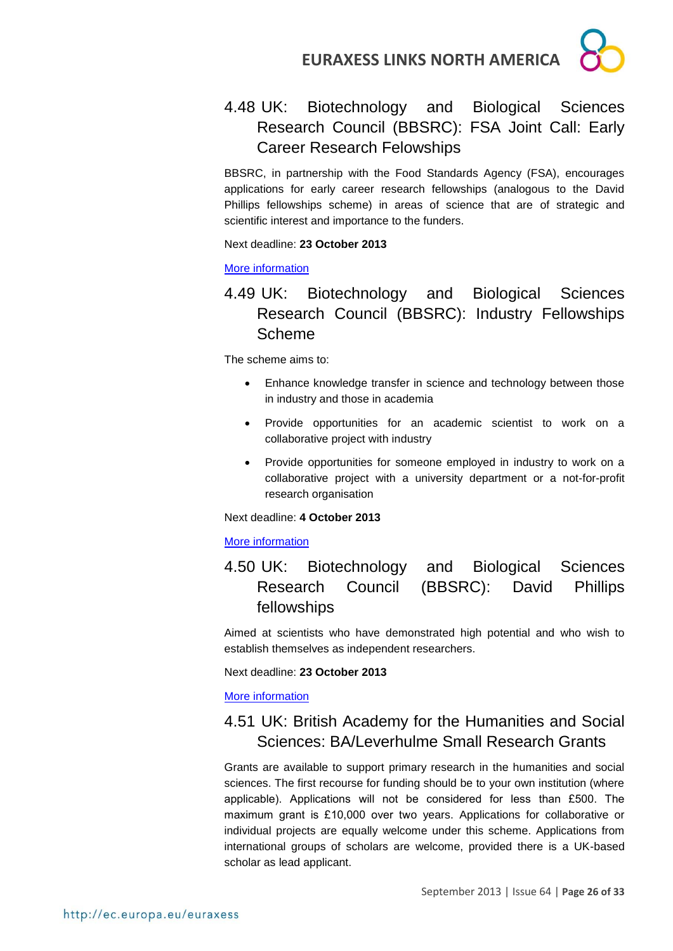

### <span id="page-25-0"></span>4.48 UK: Biotechnology and Biological Sciences Research Council (BBSRC): FSA Joint Call: Early Career Research Felowships

BBSRC, in partnership with the Food Standards Agency (FSA), encourages applications for early career research fellowships (analogous to the David Phillips fellowships scheme) in areas of science that are of strategic and scientific interest and importance to the funders.

Next deadline: **23 October 2013**

[More information](http://www.bbsrc.ac.uk/funding/fellowships/early-career-research.aspx)

### <span id="page-25-1"></span>4.49 UK: Biotechnology and Biological Sciences Research Council (BBSRC): Industry Fellowships Scheme

The scheme aims to:

- Enhance knowledge transfer in science and technology between those in industry and those in academia
- Provide opportunities for an academic scientist to work on a collaborative project with industry
- Provide opportunities for someone employed in industry to work on a collaborative project with a university department or a not-for-profit research organisation

Next deadline: **4 October 2013**

#### [More information](http://www.bbsrc.ac.uk/business/people-information/industry-fellowship-scheme.aspx)

<span id="page-25-2"></span>4.50 UK: Biotechnology and Biological Sciences Research Council (BBSRC): David Phillips fellowships

Aimed at scientists who have demonstrated high potential and who wish to establish themselves as independent researchers.

Next deadline: **23 October 2013**

[More information](http://www.bbsrc.ac.uk/funding/fellowships/david-phillips.aspx)

### <span id="page-25-3"></span>4.51 UK: British Academy for the Humanities and Social Sciences: BA/Leverhulme Small Research Grants

Grants are available to support primary research in the humanities and social sciences. The first recourse for funding should be to your own institution (where applicable). Applications will not be considered for less than £500. The maximum grant is £10,000 over two years. Applications for collaborative or individual projects are equally welcome under this scheme. Applications from international groups of scholars are welcome, provided there is a UK-based scholar as lead applicant.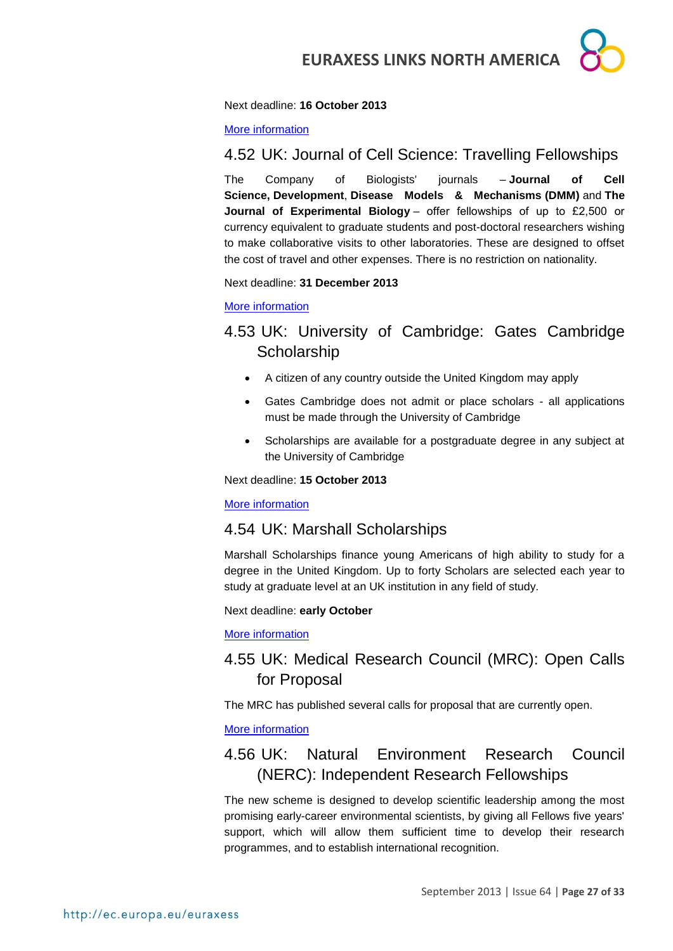

#### Next deadline: **16 October 2013**

[More information](http://www.britac.ac.uk/funding/guide/srg.cfm)

### <span id="page-26-0"></span>4.52 UK: Journal of Cell Science: Travelling Fellowships

The Company of Biologists' journals – **Journal of Cell Science, Development**, **Disease Models & Mechanisms (DMM)** and **The Journal of Experimental Biology** – offer fellowships of up to £2,500 or currency equivalent to graduate students and post-doctoral researchers wishing to make collaborative visits to other laboratories. These are designed to offset the cost of travel and other expenses. There is no restriction on nationality.

Next deadline: **31 December 2013**

#### [More information](http://jcs.biologists.org/site/misc/fellowships.xhtml)

### <span id="page-26-1"></span>4.53 UK: University of Cambridge: Gates Cambridge **Scholarship**

- A citizen of any country outside the United Kingdom may apply
- Gates Cambridge does not admit or place scholars all applications must be made through the University of Cambridge
- Scholarships are available for a postgraduate degree in any subject at the University of Cambridge

#### Next deadline: **15 October 2013**

#### [More information](http://www.gatescambridge.org/apply/)

#### <span id="page-26-2"></span>4.54 UK: Marshall Scholarships

Marshall Scholarships finance young Americans of high ability to study for a degree in the United Kingdom. Up to forty Scholars are selected each year to study at graduate level at an UK institution in any field of study.

#### Next deadline: **early October**

[More information](http://www.marshallscholarship.org/about/generalinfo)

### <span id="page-26-3"></span>4.55 UK: Medical Research Council (MRC): Open Calls for Proposal

The MRC has published several calls for proposal that are currently open.

#### [More information](http://www.mrc.ac.uk/Fundingopportunities/Calls/index.htm)

### <span id="page-26-4"></span>4.56 UK: Natural Environment Research Council (NERC): Independent Research Fellowships

The new scheme is designed to develop scientific leadership among the most promising early-career environmental scientists, by giving all Fellows five years' support, which will allow them sufficient time to develop their research programmes, and to establish international recognition.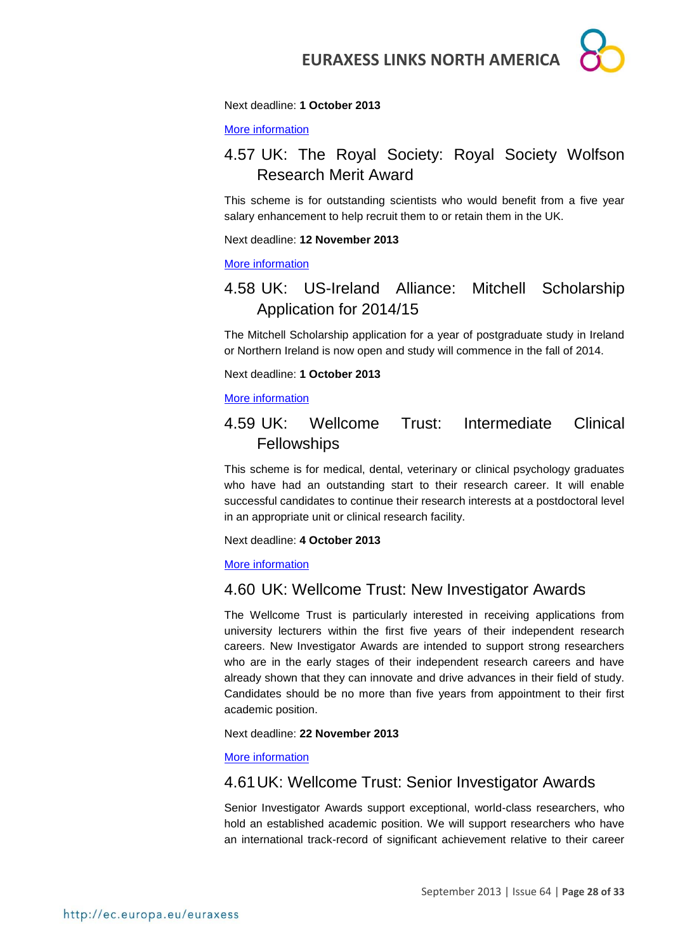#### Next deadline: **1 October 2013**

[More information](http://www.nerc.ac.uk/funding/available/fellowships/irf.asp)

### <span id="page-27-0"></span>4.57 UK: The Royal Society: Royal Society Wolfson Research Merit Award

This scheme is for outstanding scientists who would benefit from a five year salary enhancement to help recruit them to or retain them in the UK.

Next deadline: **12 November 2013**

[More information](http://royalsociety.org/grants/schemes/wolfson-research-merit/)

### <span id="page-27-1"></span>4.58 UK: US-Ireland Alliance: Mitchell Scholarship Application for 2014/15

The Mitchell Scholarship application for a year of postgraduate study in Ireland or Northern Ireland is now open and study will commence in the fall of 2014.

Next deadline: **1 October 2013**

#### [More information](http://www.us-irelandalliance.org/content/368/en/Application%20is%20Open.html)

#### <span id="page-27-2"></span>4.59 UK: Wellcome Trust: Intermediate Clinical **Fellowships**

This scheme is for medical, dental, veterinary or clinical psychology graduates who have had an outstanding start to their research career. It will enable successful candidates to continue their research interests at a postdoctoral level in an appropriate unit or clinical research facility.

Next deadline: **4 October 2013**

#### [More information](http://www.wellcome.ac.uk/Funding/Biomedical-science/Funding-schemes/Fellowships/Clinical-fellowships/WTD004402.htm)

#### <span id="page-27-3"></span>4.60 UK: Wellcome Trust: New Investigator Awards

The Wellcome Trust is particularly interested in receiving applications from university lecturers within the first five years of their independent research careers. New Investigator Awards are intended to support strong researchers who are in the early stages of their independent research careers and have already shown that they can innovate and drive advances in their field of study. Candidates should be no more than five years from appointment to their first academic position.

#### Next deadline: **22 November 2013**

#### [More information](http://www.wellcome.ac.uk/Funding/Biomedical-science/Funding-schemes/Investigator-Awards/WTX059284.htm)

#### <span id="page-27-4"></span>4.61UK: Wellcome Trust: Senior Investigator Awards

Senior Investigator Awards support exceptional, world-class researchers, who hold an established academic position. We will support researchers who have an international track-record of significant achievement relative to their career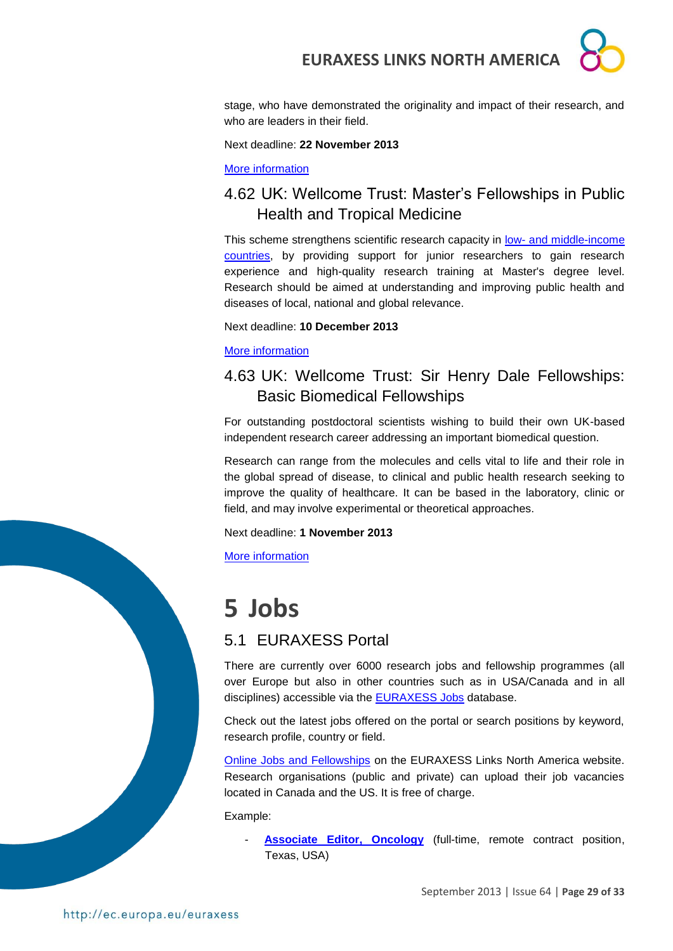stage, who have demonstrated the originality and impact of their research, and who are leaders in their field.

Next deadline: **22 November 2013**

[More information](http://www.wellcome.ac.uk/Funding/Biomedical-science/Funding-schemes/Investigator-Awards/WTX059285.htm)

### <span id="page-28-0"></span>4.62 UK: Wellcome Trust: Master's Fellowships in Public Health and Tropical Medicine

This scheme strengthens scientific research capacity in low- and middle-income [countries,](http://www.wellcome.ac.uk/Funding/International/WTX033620.htm) by providing support for junior researchers to gain research experience and high-quality research training at Master's degree level. Research should be aimed at understanding and improving public health and diseases of local, national and global relevance.

Next deadline: **10 December 2013**

[More information](http://www.wellcome.ac.uk/Funding/Biomedical-science/Funding-schemes/Fellowships/Public-health-and-tropical-medicine/WTD025881.htm)

### <span id="page-28-1"></span>4.63 UK: Wellcome Trust: Sir Henry Dale Fellowships: Basic Biomedical Fellowships

For outstanding postdoctoral scientists wishing to build their own UK-based independent research career addressing an important biomedical question.

Research can range from the molecules and cells vital to life and their role in the global spread of disease, to clinical and public health research seeking to improve the quality of healthcare. It can be based in the laboratory, clinic or field, and may involve experimental or theoretical approaches.

Next deadline: **1 November 2013**

[More information](http://www.wellcome.ac.uk/Funding/Biomedical-science/Funding-schemes/Fellowships/Basic-biomedical-fellowships/WTDV031823.htm)

## <span id="page-28-2"></span>**5 Jobs**

### <span id="page-28-3"></span>5.1 EURAXESS Portal

There are currently over 6000 research jobs and fellowship programmes (all over Europe but also in other countries such as in USA/Canada and in all disciplines) accessible via the **EURAXESS Jobs** database.

Check out the latest jobs offered on the portal or search positions by keyword, research profile, country or field.

[Online Jobs and Fellowships](http://ec.europa.eu/euraxess/index.cfm/links/eurRes/north_america) on the EURAXESS Links North America website. Research organisations (public and private) can upload their job vacancies located in Canada and the US. It is free of charge.

Example:

[Associate Editor, Oncology](http://ec.europa.eu/euraxess/index.cfm/jobs/jobDetails/33881204) (full-time, remote contract position, Texas, USA)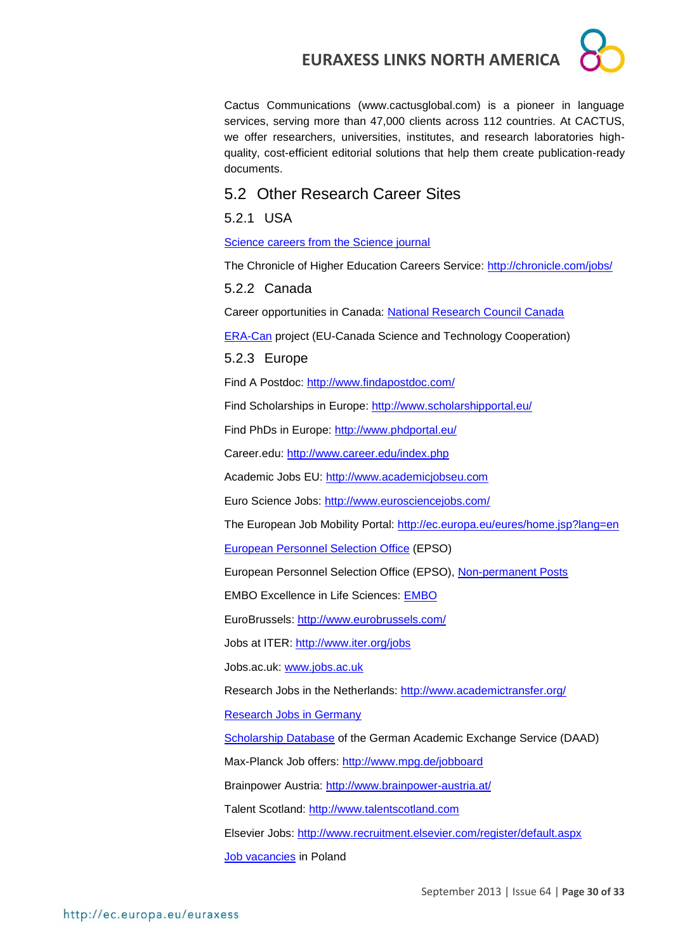Cactus Communications (www.cactusglobal.com) is a pioneer in language services, serving more than 47,000 clients across 112 countries. At CACTUS, we offer researchers, universities, institutes, and research laboratories highquality, cost-efficient editorial solutions that help them create publication-ready documents.

#### <span id="page-29-0"></span>5.2 Other Research Career Sites

#### <span id="page-29-1"></span>5.2.1 USA

[Science careers from the Science journal](http://sciencecareers.sciencemag.org/)

The Chronicle of Higher Education Careers Service:<http://chronicle.com/jobs/>

#### <span id="page-29-2"></span>5.2.2 Canada

Career opportunities in Canada: [National Research Council Canada](http://www.nrc-cnrc.gc.ca/eng/careers/index.html)

[ERA-Can](http://www.era-can.ca/en/Opportunities_In_Canadian_Programs_22/Opportunities_In_Canadian_Programs_10) project (EU-Canada Science and Technology Cooperation)

#### <span id="page-29-3"></span>5.2.3 Europe

Find A Postdoc:<http://www.findapostdoc.com/>

Find Scholarships in Europe:<http://www.scholarshipportal.eu/>

Find PhDs in Europe:<http://www.phdportal.eu/>

Career.edu:<http://www.career.edu/index.php>

Academic Jobs EU: [http://www.academicjobseu.com](http://www.academicjobseu.com/)

Euro Science Jobs:<http://www.eurosciencejobs.com/>

The European Job Mobility Portal:<http://ec.europa.eu/eures/home.jsp?lang=en>

[European Personnel Selection Office](http://europa.eu/epso/index_en.htm) (EPSO)

European Personnel Selection Office (EPSO), [Non-permanent Posts](http://europa.eu/epso/apply/today/temporary_en.htm)

EMBO Excellence in Life Sciences: [EMBO](http://www.embo.org/)

EuroBrussels:<http://www.eurobrussels.com/>

Jobs at ITER:<http://www.iter.org/jobs>

Jobs.ac.uk: [www.jobs.ac.uk](http://www.jobs.ac.uk/)

Research Jobs in the Netherlands:<http://www.academictransfer.org/>

[Research Jobs in Germany](http://www.germaninnovation.org/resources/faculty-and-researchers)

[Scholarship Database](http://www.research-in-germany.de/44094/daad-funding-database.html) of the German Academic Exchange Service (DAAD)

Max-Planck Job offers:<http://www.mpg.de/jobboard>

Brainpower Austria:<http://www.brainpower-austria.at/>

Talent Scotland: [http://www.talentscotland.com](http://www.talentscotland.com/)

Elsevier Jobs:<http://www.recruitment.elsevier.com/register/default.aspx>

[Job vacancies](http://www.nauka.gov.pl/ministry/job-vacancies-in-poland/) in Poland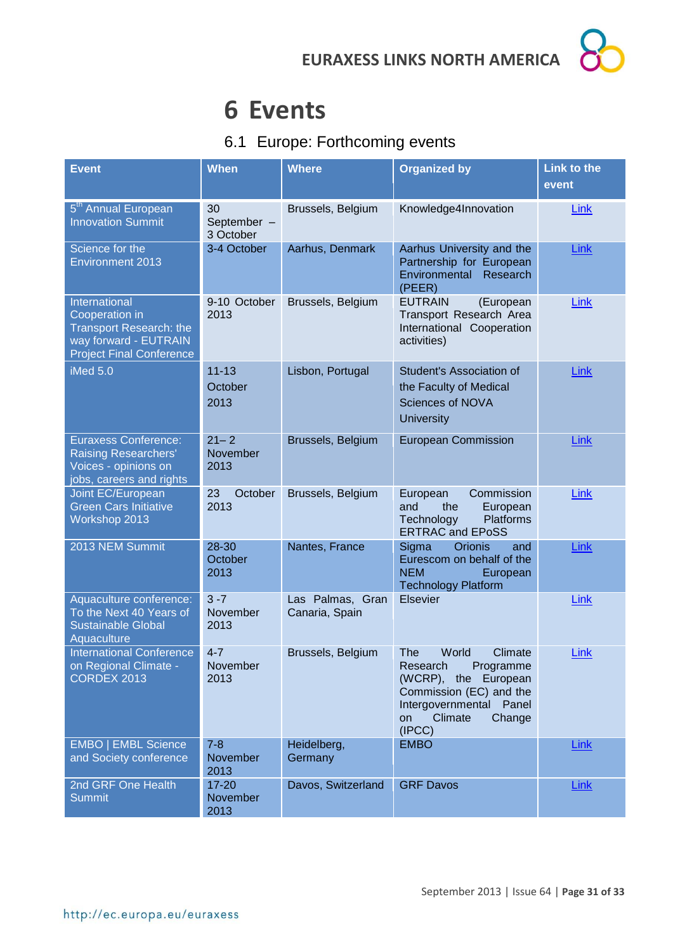## <span id="page-30-0"></span>**6 Events**

### <span id="page-30-1"></span>6.1 Europe: Forthcoming events

| <b>Event</b>                                                                                                           | <b>When</b>                    | <b>Where</b>                       | <b>Organized by</b>                                                                                                                                                 | <b>Link to the</b><br>event |
|------------------------------------------------------------------------------------------------------------------------|--------------------------------|------------------------------------|---------------------------------------------------------------------------------------------------------------------------------------------------------------------|-----------------------------|
| 5 <sup>th</sup> Annual European<br><b>Innovation Summit</b>                                                            | 30<br>September -<br>3 October | Brussels, Belgium                  | Knowledge4Innovation                                                                                                                                                | Link                        |
| Science for the<br><b>Environment 2013</b>                                                                             | 3-4 October                    | Aarhus, Denmark                    | Aarhus University and the<br>Partnership for European<br>Environmental<br>Research<br>(PEER)                                                                        | <b>Link</b>                 |
| International<br>Cooperation in<br>Transport Research: the<br>way forward - EUTRAIN<br><b>Project Final Conference</b> | 9-10 October<br>2013           | Brussels, Belgium                  | <b>EUTRAIN</b><br>(European<br>Transport Research Area<br>International Cooperation<br>activities)                                                                  | Link                        |
| iMed 5.0                                                                                                               | $11 - 13$<br>October<br>2013   | Lisbon, Portugal                   | Student's Association of<br>the Faculty of Medical<br><b>Sciences of NOVA</b><br><b>University</b>                                                                  | <b>Link</b>                 |
| <b>Euraxess Conference:</b><br><b>Raising Researchers'</b><br>Voices - opinions on<br>jobs, careers and rights         | $21 - 2$<br>November<br>2013   | Brussels, Belgium                  | <b>European Commission</b>                                                                                                                                          | Link                        |
| Joint EC/European<br><b>Green Cars Initiative</b><br>Workshop 2013                                                     | 23<br>October<br>2013          | Brussels, Belgium                  | European<br>Commission<br>and<br>the<br>European<br>Technology<br>Platforms<br><b>ERTRAC and EPoSS</b>                                                              | Link                        |
| 2013 NEM Summit                                                                                                        | 28-30<br>October<br>2013       | Nantes, France                     | Sigma<br>Orionis<br>and<br>Eurescom on behalf of the<br><b>NEM</b><br>European<br><b>Technology Platform</b>                                                        | <b>Link</b>                 |
| Aquaculture conference:<br>To the Next 40 Years of<br><b>Sustainable Global</b><br>Aquaculture                         | $3 - 7$<br>November<br>2013    | Las Palmas, Gran<br>Canaria, Spain | Elsevier                                                                                                                                                            | <b>Link</b>                 |
| <b>International Conference</b><br>on Regional Climate -<br><b>CORDEX 2013</b>                                         | $4 - 7$<br>November<br>2013    | Brussels, Belgium                  | World<br>Climate<br>The<br>Programme<br>Research<br>(WCRP), the European<br>Commission (EC) and the<br>Intergovernmental Panel<br>Climate<br>Change<br>on<br>(IPCC) | <b>Link</b>                 |
| <b>EMBO   EMBL Science</b><br>and Society conference                                                                   | $7 - 8$<br>November<br>2013    | Heidelberg,<br>Germany             | <b>EMBO</b>                                                                                                                                                         | <b>Link</b>                 |
| 2nd GRF One Health<br><b>Summit</b>                                                                                    | $17 - 20$<br>November<br>2013  | Davos, Switzerland                 | <b>GRF Davos</b>                                                                                                                                                    | <b>Link</b>                 |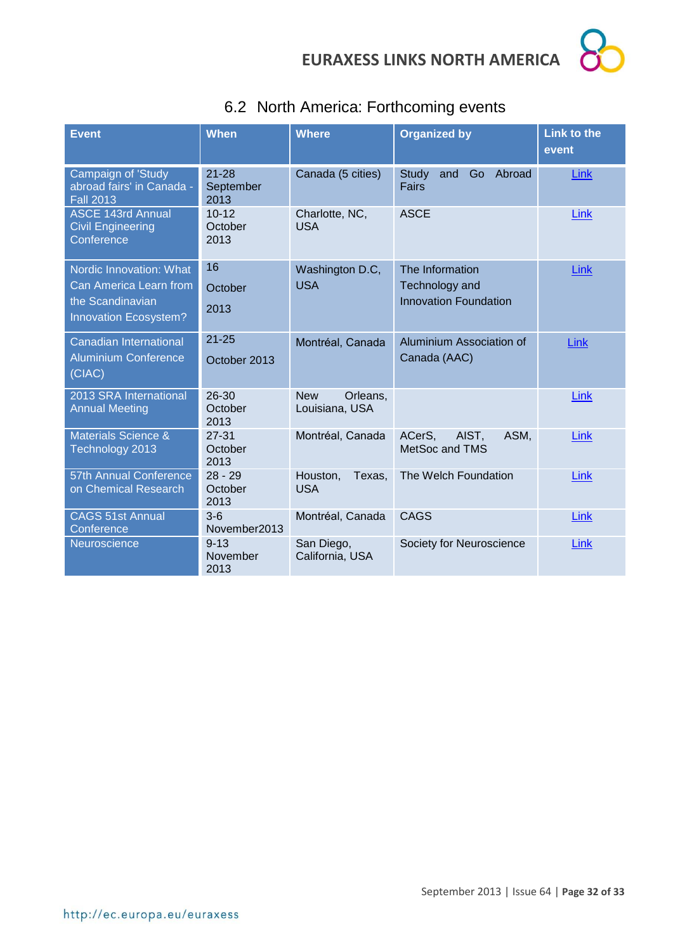

<span id="page-31-0"></span>

|  |  |  | 6.2 North America: Forthcoming events |  |
|--|--|--|---------------------------------------|--|
|--|--|--|---------------------------------------|--|

| <b>Event</b>                                                        | <b>When</b>                    | <b>Where</b>                             | <b>Organized by</b>                                 | <b>Link to the</b><br>event |
|---------------------------------------------------------------------|--------------------------------|------------------------------------------|-----------------------------------------------------|-----------------------------|
| Campaign of 'Study<br>abroad fairs' in Canada -<br><b>Fall 2013</b> | $21 - 28$<br>September<br>2013 | Canada (5 cities)                        | Abroad<br><b>Study</b><br>and<br>Go<br><b>Fairs</b> | Link                        |
| <b>ASCE 143rd Annual</b><br><b>Civil Engineering</b><br>Conference  | $10 - 12$<br>October<br>2013   | Charlotte, NC,<br><b>USA</b>             | <b>ASCE</b>                                         | Link                        |
| Nordic Innovation: What                                             | 16                             | Washington D.C,                          | The Information                                     | Link                        |
| Can America Learn from                                              | October                        | <b>USA</b>                               | Technology and                                      |                             |
| the Scandinavian<br><b>Innovation Ecosystem?</b>                    | 2013                           |                                          | <b>Innovation Foundation</b>                        |                             |
| Canadian International                                              | $21 - 25$                      | Montréal, Canada                         | Aluminium Association of                            | Link                        |
| <b>Aluminium Conference</b><br>(CIAC)                               | October 2013                   |                                          | Canada (AAC)                                        |                             |
| 2013 SRA International<br><b>Annual Meeting</b>                     | 26-30<br>October<br>2013       | <b>New</b><br>Orleans,<br>Louisiana, USA |                                                     | Link                        |
| Materials Science &<br>Technology 2013                              | $27 - 31$<br>October<br>2013   | Montréal, Canada                         | AIST,<br>ASM,<br>ACerS,<br>MetSoc and TMS           | Link                        |
| 57th Annual Conference<br>on Chemical Research                      | $28 - 29$<br>October<br>2013   | Houston,<br>Texas,<br><b>USA</b>         | The Welch Foundation                                | Link                        |
| <b>CAGS 51st Annual</b><br>Conference                               | $3-6$<br>November2013          | Montréal, Canada                         | <b>CAGS</b>                                         | <b>Link</b>                 |
| Neuroscience                                                        | $9 - 13$<br>November<br>2013   | San Diego,<br>California, USA            | Society for Neuroscience                            | Link                        |